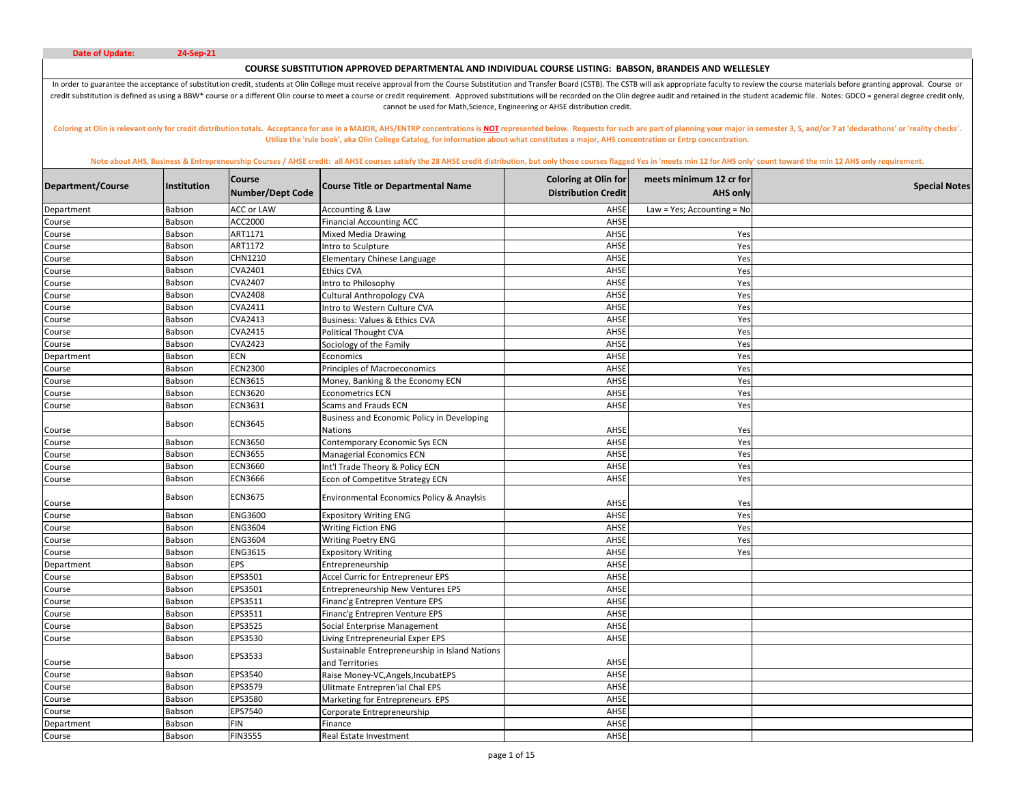# **COURSE SUBSTITUTION APPROVED DEPARTMENTAL AND INDIVIDUAL COURSE LISTING: BABSON, BRANDEIS AND WELLESLEY**

In order to guarantee the acceptance of substitution credit, students at Olin College must receive approval from the Course Substitution and Transfer Board (CSTB). The CSTB will ask appropriate faculty to review the course credit substitution is defined as using a BBW\* course or a different Olin course to meet a course or credit requirement. Approved substitutions will be recorded on the Olin degree audit and retained in the student academic cannot be used for Math,Science, Engineering or AHSE distribution credit.

Coloring at Olin is relevant only for credit distribution totals. Acceptance for use in a MAJOR, AHS/ENTRP concentrations is NOT represented below. Requests for such are part of planning your major in semester 3, 5, and/or **Utilize the 'rule book', aka Olin College Catalog, for information about what constitutes a major, AHS concentration or Entrp concentration.** 

| AHSE<br>Law = Yes; Accounting = No<br>Babson<br>ACC or LAW<br>Accounting & Law<br>Department<br>ACC2000<br>AHSE<br>Babson<br><b>Financial Accounting ACC</b><br>Course<br>Babson<br>ART1171<br><b>Mixed Media Drawing</b><br>AHSE<br>Course<br>Yes<br>ART1172<br>AHSE<br>Babson<br>Yes<br>ntro to Sculpture<br>Course<br>CHN1210<br>Babson<br>AHSE<br>Elementary Chinese Language<br>Yes<br>Course<br>Babson<br>CVA2401<br>AHSE<br><b>Ethics CVA</b><br>Yes<br>Course<br><b>CVA2407</b><br>AHSE<br>Babson<br>Yes<br>Intro to Philosophy<br>Course<br>Babson<br><b>CVA2408</b><br>AHSE<br>Cultural Anthropology CVA<br>Yes<br>Course<br>CVA2411<br>AHSE<br>Yes<br>Babson<br>ntro to Western Culture CVA<br>Course<br>CVA2413<br>AHSE<br>Babson<br>Yes<br>Course<br>Business: Values & Ethics CVA<br><b>CVA2415</b><br>AHSE<br>Babson<br><b>Political Thought CVA</b><br>Yes<br>Course<br><b>CVA2423</b><br>AHSE<br>Babson<br>Sociology of the Family<br>Yes<br>Course<br>ECN<br>AHSE<br>Babson<br>Economics<br>Yes<br>Department<br>Babson<br><b>ECN2300</b><br>AHSE<br>Yes<br>Principles of Macroeconomics<br>Course<br><b>ECN3615</b><br>AHSE<br>Babson<br>Yes<br>Money, Banking & the Economy ECN<br>Course<br><b>ECN3620</b><br>AHSE<br>Babson<br><b>Econometrics ECN</b><br>Yes<br>Course<br>Babson<br>ECN3631<br>AHSE<br>Yes<br>Scams and Frauds ECN<br>Course<br>Business and Economic Policy in Developing<br>ECN3645<br>Babson<br>AHSE<br>Yes<br><b>Nations</b><br>Course<br><b>ECN3650</b><br>Babson<br>Contemporary Economic Sys ECN<br>AHSE<br>Yes<br>Course<br><b>ECN3655</b><br>AHSE<br>Babson<br>Managerial Economics ECN<br>Yes<br>Course<br>Babson<br><b>ECN3660</b><br>AHSE<br>Int'l Trade Theory & Policy ECN<br>Yes<br>Course<br><b>ECN3666</b><br>Babson<br>AHSE<br>Econ of Competitve Strategy ECN<br>Yes<br>Course<br>Babson<br><b>ECN3675</b><br>Environmental Economics Policy & Anaylsis<br>AHSE<br>Yes<br>Course<br>ENG3600<br>AHSE<br>Yes<br>Babson<br><b>Expository Writing ENG</b><br>Course<br><b>ENG3604</b><br>AHSE<br>Babson<br><b>Writing Fiction ENG</b><br>Yes<br>Course<br>Babson<br><b>ENG3604</b><br><b>Writing Poetry ENG</b><br>AHSE<br>Yes<br>Course<br>AHSE<br>Babson<br><b>ENG3615</b><br>Yes<br>Course<br><b>Expository Writing</b><br><b>Babson</b><br>EPS<br>Entrepreneurship<br>AHSE<br>Department<br>EPS3501<br>AHSE<br>Babson<br>Accel Curric for Entrepreneur EPS<br>Course<br>Babson<br>EPS3501<br>AHSE<br><b>Entrepreneurship New Ventures EPS</b><br>Course<br>Babson<br>EPS3511<br>AHSE<br>Course<br>Financ'g Entrepren Venture EPS<br>EPS3511<br>AHSE<br>Babson<br>Financ'g Entrepren Venture EPS<br>Course<br>EPS3525<br>Social Enterprise Management<br>Babson<br>AHSE<br>Course<br>EPS3530<br>AHSE<br>Babson<br>Living Entrepreneurial Exper EPS<br>Course<br>Sustainable Entrepreneurship in Island Nations<br>EPS3533<br>Babson<br>AHSE<br>and Territories<br>Course<br>EPS3540<br>Raise Money-VC, Angels, IncubatEPS<br>AHSE<br>Babson<br>Course<br>EPS3579<br>Babson<br><b>Ulitmate Entrepren'ial Chal EPS</b><br>AHSE<br>Course<br>EPS3580<br>AHSE<br>Babson<br>Marketing for Entrepreneurs EPS<br>Course<br>Babson<br>EPS7540<br>AHSE<br>Corporate Entrepreneurship<br>Course<br>FIN<br>Babson<br>AHSE<br>Department<br>Finance | Department/Course | Institution | Course<br>Number/Dept Code | <b>Course Title or Departmental Name</b> | <b>Coloring at Olin for</b><br><b>Distribution Credit</b> | meets minimum 12 cr for<br><b>AHS only</b> | <b>Special Notes</b> |
|--------------------------------------------------------------------------------------------------------------------------------------------------------------------------------------------------------------------------------------------------------------------------------------------------------------------------------------------------------------------------------------------------------------------------------------------------------------------------------------------------------------------------------------------------------------------------------------------------------------------------------------------------------------------------------------------------------------------------------------------------------------------------------------------------------------------------------------------------------------------------------------------------------------------------------------------------------------------------------------------------------------------------------------------------------------------------------------------------------------------------------------------------------------------------------------------------------------------------------------------------------------------------------------------------------------------------------------------------------------------------------------------------------------------------------------------------------------------------------------------------------------------------------------------------------------------------------------------------------------------------------------------------------------------------------------------------------------------------------------------------------------------------------------------------------------------------------------------------------------------------------------------------------------------------------------------------------------------------------------------------------------------------------------------------------------------------------------------------------------------------------------------------------------------------------------------------------------------------------------------------------------------------------------------------------------------------------------------------------------------------------------------------------------------------------------------------------------------------------------------------------------------------------------------------------------------------------------------------------------------------------------------------------------------------------------------------------------------------------------------------------------------------------------------------------------------------------------------------------------------------------------------------------------------------------------------------------------------------------------------------------------------------------------------------------------------------------------------------------------------------------------------------------------------------------------------------------------------------------------------------------------------------------------------------|-------------------|-------------|----------------------------|------------------------------------------|-----------------------------------------------------------|--------------------------------------------|----------------------|
|                                                                                                                                                                                                                                                                                                                                                                                                                                                                                                                                                                                                                                                                                                                                                                                                                                                                                                                                                                                                                                                                                                                                                                                                                                                                                                                                                                                                                                                                                                                                                                                                                                                                                                                                                                                                                                                                                                                                                                                                                                                                                                                                                                                                                                                                                                                                                                                                                                                                                                                                                                                                                                                                                                                                                                                                                                                                                                                                                                                                                                                                                                                                                                                                                                                                                                  |                   |             |                            |                                          |                                                           |                                            |                      |
|                                                                                                                                                                                                                                                                                                                                                                                                                                                                                                                                                                                                                                                                                                                                                                                                                                                                                                                                                                                                                                                                                                                                                                                                                                                                                                                                                                                                                                                                                                                                                                                                                                                                                                                                                                                                                                                                                                                                                                                                                                                                                                                                                                                                                                                                                                                                                                                                                                                                                                                                                                                                                                                                                                                                                                                                                                                                                                                                                                                                                                                                                                                                                                                                                                                                                                  |                   |             |                            |                                          |                                                           |                                            |                      |
|                                                                                                                                                                                                                                                                                                                                                                                                                                                                                                                                                                                                                                                                                                                                                                                                                                                                                                                                                                                                                                                                                                                                                                                                                                                                                                                                                                                                                                                                                                                                                                                                                                                                                                                                                                                                                                                                                                                                                                                                                                                                                                                                                                                                                                                                                                                                                                                                                                                                                                                                                                                                                                                                                                                                                                                                                                                                                                                                                                                                                                                                                                                                                                                                                                                                                                  |                   |             |                            |                                          |                                                           |                                            |                      |
|                                                                                                                                                                                                                                                                                                                                                                                                                                                                                                                                                                                                                                                                                                                                                                                                                                                                                                                                                                                                                                                                                                                                                                                                                                                                                                                                                                                                                                                                                                                                                                                                                                                                                                                                                                                                                                                                                                                                                                                                                                                                                                                                                                                                                                                                                                                                                                                                                                                                                                                                                                                                                                                                                                                                                                                                                                                                                                                                                                                                                                                                                                                                                                                                                                                                                                  |                   |             |                            |                                          |                                                           |                                            |                      |
|                                                                                                                                                                                                                                                                                                                                                                                                                                                                                                                                                                                                                                                                                                                                                                                                                                                                                                                                                                                                                                                                                                                                                                                                                                                                                                                                                                                                                                                                                                                                                                                                                                                                                                                                                                                                                                                                                                                                                                                                                                                                                                                                                                                                                                                                                                                                                                                                                                                                                                                                                                                                                                                                                                                                                                                                                                                                                                                                                                                                                                                                                                                                                                                                                                                                                                  |                   |             |                            |                                          |                                                           |                                            |                      |
|                                                                                                                                                                                                                                                                                                                                                                                                                                                                                                                                                                                                                                                                                                                                                                                                                                                                                                                                                                                                                                                                                                                                                                                                                                                                                                                                                                                                                                                                                                                                                                                                                                                                                                                                                                                                                                                                                                                                                                                                                                                                                                                                                                                                                                                                                                                                                                                                                                                                                                                                                                                                                                                                                                                                                                                                                                                                                                                                                                                                                                                                                                                                                                                                                                                                                                  |                   |             |                            |                                          |                                                           |                                            |                      |
|                                                                                                                                                                                                                                                                                                                                                                                                                                                                                                                                                                                                                                                                                                                                                                                                                                                                                                                                                                                                                                                                                                                                                                                                                                                                                                                                                                                                                                                                                                                                                                                                                                                                                                                                                                                                                                                                                                                                                                                                                                                                                                                                                                                                                                                                                                                                                                                                                                                                                                                                                                                                                                                                                                                                                                                                                                                                                                                                                                                                                                                                                                                                                                                                                                                                                                  |                   |             |                            |                                          |                                                           |                                            |                      |
|                                                                                                                                                                                                                                                                                                                                                                                                                                                                                                                                                                                                                                                                                                                                                                                                                                                                                                                                                                                                                                                                                                                                                                                                                                                                                                                                                                                                                                                                                                                                                                                                                                                                                                                                                                                                                                                                                                                                                                                                                                                                                                                                                                                                                                                                                                                                                                                                                                                                                                                                                                                                                                                                                                                                                                                                                                                                                                                                                                                                                                                                                                                                                                                                                                                                                                  |                   |             |                            |                                          |                                                           |                                            |                      |
|                                                                                                                                                                                                                                                                                                                                                                                                                                                                                                                                                                                                                                                                                                                                                                                                                                                                                                                                                                                                                                                                                                                                                                                                                                                                                                                                                                                                                                                                                                                                                                                                                                                                                                                                                                                                                                                                                                                                                                                                                                                                                                                                                                                                                                                                                                                                                                                                                                                                                                                                                                                                                                                                                                                                                                                                                                                                                                                                                                                                                                                                                                                                                                                                                                                                                                  |                   |             |                            |                                          |                                                           |                                            |                      |
|                                                                                                                                                                                                                                                                                                                                                                                                                                                                                                                                                                                                                                                                                                                                                                                                                                                                                                                                                                                                                                                                                                                                                                                                                                                                                                                                                                                                                                                                                                                                                                                                                                                                                                                                                                                                                                                                                                                                                                                                                                                                                                                                                                                                                                                                                                                                                                                                                                                                                                                                                                                                                                                                                                                                                                                                                                                                                                                                                                                                                                                                                                                                                                                                                                                                                                  |                   |             |                            |                                          |                                                           |                                            |                      |
|                                                                                                                                                                                                                                                                                                                                                                                                                                                                                                                                                                                                                                                                                                                                                                                                                                                                                                                                                                                                                                                                                                                                                                                                                                                                                                                                                                                                                                                                                                                                                                                                                                                                                                                                                                                                                                                                                                                                                                                                                                                                                                                                                                                                                                                                                                                                                                                                                                                                                                                                                                                                                                                                                                                                                                                                                                                                                                                                                                                                                                                                                                                                                                                                                                                                                                  |                   |             |                            |                                          |                                                           |                                            |                      |
|                                                                                                                                                                                                                                                                                                                                                                                                                                                                                                                                                                                                                                                                                                                                                                                                                                                                                                                                                                                                                                                                                                                                                                                                                                                                                                                                                                                                                                                                                                                                                                                                                                                                                                                                                                                                                                                                                                                                                                                                                                                                                                                                                                                                                                                                                                                                                                                                                                                                                                                                                                                                                                                                                                                                                                                                                                                                                                                                                                                                                                                                                                                                                                                                                                                                                                  |                   |             |                            |                                          |                                                           |                                            |                      |
|                                                                                                                                                                                                                                                                                                                                                                                                                                                                                                                                                                                                                                                                                                                                                                                                                                                                                                                                                                                                                                                                                                                                                                                                                                                                                                                                                                                                                                                                                                                                                                                                                                                                                                                                                                                                                                                                                                                                                                                                                                                                                                                                                                                                                                                                                                                                                                                                                                                                                                                                                                                                                                                                                                                                                                                                                                                                                                                                                                                                                                                                                                                                                                                                                                                                                                  |                   |             |                            |                                          |                                                           |                                            |                      |
|                                                                                                                                                                                                                                                                                                                                                                                                                                                                                                                                                                                                                                                                                                                                                                                                                                                                                                                                                                                                                                                                                                                                                                                                                                                                                                                                                                                                                                                                                                                                                                                                                                                                                                                                                                                                                                                                                                                                                                                                                                                                                                                                                                                                                                                                                                                                                                                                                                                                                                                                                                                                                                                                                                                                                                                                                                                                                                                                                                                                                                                                                                                                                                                                                                                                                                  |                   |             |                            |                                          |                                                           |                                            |                      |
|                                                                                                                                                                                                                                                                                                                                                                                                                                                                                                                                                                                                                                                                                                                                                                                                                                                                                                                                                                                                                                                                                                                                                                                                                                                                                                                                                                                                                                                                                                                                                                                                                                                                                                                                                                                                                                                                                                                                                                                                                                                                                                                                                                                                                                                                                                                                                                                                                                                                                                                                                                                                                                                                                                                                                                                                                                                                                                                                                                                                                                                                                                                                                                                                                                                                                                  |                   |             |                            |                                          |                                                           |                                            |                      |
|                                                                                                                                                                                                                                                                                                                                                                                                                                                                                                                                                                                                                                                                                                                                                                                                                                                                                                                                                                                                                                                                                                                                                                                                                                                                                                                                                                                                                                                                                                                                                                                                                                                                                                                                                                                                                                                                                                                                                                                                                                                                                                                                                                                                                                                                                                                                                                                                                                                                                                                                                                                                                                                                                                                                                                                                                                                                                                                                                                                                                                                                                                                                                                                                                                                                                                  |                   |             |                            |                                          |                                                           |                                            |                      |
|                                                                                                                                                                                                                                                                                                                                                                                                                                                                                                                                                                                                                                                                                                                                                                                                                                                                                                                                                                                                                                                                                                                                                                                                                                                                                                                                                                                                                                                                                                                                                                                                                                                                                                                                                                                                                                                                                                                                                                                                                                                                                                                                                                                                                                                                                                                                                                                                                                                                                                                                                                                                                                                                                                                                                                                                                                                                                                                                                                                                                                                                                                                                                                                                                                                                                                  |                   |             |                            |                                          |                                                           |                                            |                      |
|                                                                                                                                                                                                                                                                                                                                                                                                                                                                                                                                                                                                                                                                                                                                                                                                                                                                                                                                                                                                                                                                                                                                                                                                                                                                                                                                                                                                                                                                                                                                                                                                                                                                                                                                                                                                                                                                                                                                                                                                                                                                                                                                                                                                                                                                                                                                                                                                                                                                                                                                                                                                                                                                                                                                                                                                                                                                                                                                                                                                                                                                                                                                                                                                                                                                                                  |                   |             |                            |                                          |                                                           |                                            |                      |
|                                                                                                                                                                                                                                                                                                                                                                                                                                                                                                                                                                                                                                                                                                                                                                                                                                                                                                                                                                                                                                                                                                                                                                                                                                                                                                                                                                                                                                                                                                                                                                                                                                                                                                                                                                                                                                                                                                                                                                                                                                                                                                                                                                                                                                                                                                                                                                                                                                                                                                                                                                                                                                                                                                                                                                                                                                                                                                                                                                                                                                                                                                                                                                                                                                                                                                  |                   |             |                            |                                          |                                                           |                                            |                      |
|                                                                                                                                                                                                                                                                                                                                                                                                                                                                                                                                                                                                                                                                                                                                                                                                                                                                                                                                                                                                                                                                                                                                                                                                                                                                                                                                                                                                                                                                                                                                                                                                                                                                                                                                                                                                                                                                                                                                                                                                                                                                                                                                                                                                                                                                                                                                                                                                                                                                                                                                                                                                                                                                                                                                                                                                                                                                                                                                                                                                                                                                                                                                                                                                                                                                                                  |                   |             |                            |                                          |                                                           |                                            |                      |
|                                                                                                                                                                                                                                                                                                                                                                                                                                                                                                                                                                                                                                                                                                                                                                                                                                                                                                                                                                                                                                                                                                                                                                                                                                                                                                                                                                                                                                                                                                                                                                                                                                                                                                                                                                                                                                                                                                                                                                                                                                                                                                                                                                                                                                                                                                                                                                                                                                                                                                                                                                                                                                                                                                                                                                                                                                                                                                                                                                                                                                                                                                                                                                                                                                                                                                  |                   |             |                            |                                          |                                                           |                                            |                      |
|                                                                                                                                                                                                                                                                                                                                                                                                                                                                                                                                                                                                                                                                                                                                                                                                                                                                                                                                                                                                                                                                                                                                                                                                                                                                                                                                                                                                                                                                                                                                                                                                                                                                                                                                                                                                                                                                                                                                                                                                                                                                                                                                                                                                                                                                                                                                                                                                                                                                                                                                                                                                                                                                                                                                                                                                                                                                                                                                                                                                                                                                                                                                                                                                                                                                                                  |                   |             |                            |                                          |                                                           |                                            |                      |
|                                                                                                                                                                                                                                                                                                                                                                                                                                                                                                                                                                                                                                                                                                                                                                                                                                                                                                                                                                                                                                                                                                                                                                                                                                                                                                                                                                                                                                                                                                                                                                                                                                                                                                                                                                                                                                                                                                                                                                                                                                                                                                                                                                                                                                                                                                                                                                                                                                                                                                                                                                                                                                                                                                                                                                                                                                                                                                                                                                                                                                                                                                                                                                                                                                                                                                  |                   |             |                            |                                          |                                                           |                                            |                      |
|                                                                                                                                                                                                                                                                                                                                                                                                                                                                                                                                                                                                                                                                                                                                                                                                                                                                                                                                                                                                                                                                                                                                                                                                                                                                                                                                                                                                                                                                                                                                                                                                                                                                                                                                                                                                                                                                                                                                                                                                                                                                                                                                                                                                                                                                                                                                                                                                                                                                                                                                                                                                                                                                                                                                                                                                                                                                                                                                                                                                                                                                                                                                                                                                                                                                                                  |                   |             |                            |                                          |                                                           |                                            |                      |
|                                                                                                                                                                                                                                                                                                                                                                                                                                                                                                                                                                                                                                                                                                                                                                                                                                                                                                                                                                                                                                                                                                                                                                                                                                                                                                                                                                                                                                                                                                                                                                                                                                                                                                                                                                                                                                                                                                                                                                                                                                                                                                                                                                                                                                                                                                                                                                                                                                                                                                                                                                                                                                                                                                                                                                                                                                                                                                                                                                                                                                                                                                                                                                                                                                                                                                  |                   |             |                            |                                          |                                                           |                                            |                      |
|                                                                                                                                                                                                                                                                                                                                                                                                                                                                                                                                                                                                                                                                                                                                                                                                                                                                                                                                                                                                                                                                                                                                                                                                                                                                                                                                                                                                                                                                                                                                                                                                                                                                                                                                                                                                                                                                                                                                                                                                                                                                                                                                                                                                                                                                                                                                                                                                                                                                                                                                                                                                                                                                                                                                                                                                                                                                                                                                                                                                                                                                                                                                                                                                                                                                                                  |                   |             |                            |                                          |                                                           |                                            |                      |
|                                                                                                                                                                                                                                                                                                                                                                                                                                                                                                                                                                                                                                                                                                                                                                                                                                                                                                                                                                                                                                                                                                                                                                                                                                                                                                                                                                                                                                                                                                                                                                                                                                                                                                                                                                                                                                                                                                                                                                                                                                                                                                                                                                                                                                                                                                                                                                                                                                                                                                                                                                                                                                                                                                                                                                                                                                                                                                                                                                                                                                                                                                                                                                                                                                                                                                  |                   |             |                            |                                          |                                                           |                                            |                      |
|                                                                                                                                                                                                                                                                                                                                                                                                                                                                                                                                                                                                                                                                                                                                                                                                                                                                                                                                                                                                                                                                                                                                                                                                                                                                                                                                                                                                                                                                                                                                                                                                                                                                                                                                                                                                                                                                                                                                                                                                                                                                                                                                                                                                                                                                                                                                                                                                                                                                                                                                                                                                                                                                                                                                                                                                                                                                                                                                                                                                                                                                                                                                                                                                                                                                                                  |                   |             |                            |                                          |                                                           |                                            |                      |
|                                                                                                                                                                                                                                                                                                                                                                                                                                                                                                                                                                                                                                                                                                                                                                                                                                                                                                                                                                                                                                                                                                                                                                                                                                                                                                                                                                                                                                                                                                                                                                                                                                                                                                                                                                                                                                                                                                                                                                                                                                                                                                                                                                                                                                                                                                                                                                                                                                                                                                                                                                                                                                                                                                                                                                                                                                                                                                                                                                                                                                                                                                                                                                                                                                                                                                  |                   |             |                            |                                          |                                                           |                                            |                      |
|                                                                                                                                                                                                                                                                                                                                                                                                                                                                                                                                                                                                                                                                                                                                                                                                                                                                                                                                                                                                                                                                                                                                                                                                                                                                                                                                                                                                                                                                                                                                                                                                                                                                                                                                                                                                                                                                                                                                                                                                                                                                                                                                                                                                                                                                                                                                                                                                                                                                                                                                                                                                                                                                                                                                                                                                                                                                                                                                                                                                                                                                                                                                                                                                                                                                                                  |                   |             |                            |                                          |                                                           |                                            |                      |
|                                                                                                                                                                                                                                                                                                                                                                                                                                                                                                                                                                                                                                                                                                                                                                                                                                                                                                                                                                                                                                                                                                                                                                                                                                                                                                                                                                                                                                                                                                                                                                                                                                                                                                                                                                                                                                                                                                                                                                                                                                                                                                                                                                                                                                                                                                                                                                                                                                                                                                                                                                                                                                                                                                                                                                                                                                                                                                                                                                                                                                                                                                                                                                                                                                                                                                  |                   |             |                            |                                          |                                                           |                                            |                      |
|                                                                                                                                                                                                                                                                                                                                                                                                                                                                                                                                                                                                                                                                                                                                                                                                                                                                                                                                                                                                                                                                                                                                                                                                                                                                                                                                                                                                                                                                                                                                                                                                                                                                                                                                                                                                                                                                                                                                                                                                                                                                                                                                                                                                                                                                                                                                                                                                                                                                                                                                                                                                                                                                                                                                                                                                                                                                                                                                                                                                                                                                                                                                                                                                                                                                                                  |                   |             |                            |                                          |                                                           |                                            |                      |
|                                                                                                                                                                                                                                                                                                                                                                                                                                                                                                                                                                                                                                                                                                                                                                                                                                                                                                                                                                                                                                                                                                                                                                                                                                                                                                                                                                                                                                                                                                                                                                                                                                                                                                                                                                                                                                                                                                                                                                                                                                                                                                                                                                                                                                                                                                                                                                                                                                                                                                                                                                                                                                                                                                                                                                                                                                                                                                                                                                                                                                                                                                                                                                                                                                                                                                  |                   |             |                            |                                          |                                                           |                                            |                      |
|                                                                                                                                                                                                                                                                                                                                                                                                                                                                                                                                                                                                                                                                                                                                                                                                                                                                                                                                                                                                                                                                                                                                                                                                                                                                                                                                                                                                                                                                                                                                                                                                                                                                                                                                                                                                                                                                                                                                                                                                                                                                                                                                                                                                                                                                                                                                                                                                                                                                                                                                                                                                                                                                                                                                                                                                                                                                                                                                                                                                                                                                                                                                                                                                                                                                                                  |                   |             |                            |                                          |                                                           |                                            |                      |
|                                                                                                                                                                                                                                                                                                                                                                                                                                                                                                                                                                                                                                                                                                                                                                                                                                                                                                                                                                                                                                                                                                                                                                                                                                                                                                                                                                                                                                                                                                                                                                                                                                                                                                                                                                                                                                                                                                                                                                                                                                                                                                                                                                                                                                                                                                                                                                                                                                                                                                                                                                                                                                                                                                                                                                                                                                                                                                                                                                                                                                                                                                                                                                                                                                                                                                  |                   |             |                            |                                          |                                                           |                                            |                      |
|                                                                                                                                                                                                                                                                                                                                                                                                                                                                                                                                                                                                                                                                                                                                                                                                                                                                                                                                                                                                                                                                                                                                                                                                                                                                                                                                                                                                                                                                                                                                                                                                                                                                                                                                                                                                                                                                                                                                                                                                                                                                                                                                                                                                                                                                                                                                                                                                                                                                                                                                                                                                                                                                                                                                                                                                                                                                                                                                                                                                                                                                                                                                                                                                                                                                                                  |                   |             |                            |                                          |                                                           |                                            |                      |
|                                                                                                                                                                                                                                                                                                                                                                                                                                                                                                                                                                                                                                                                                                                                                                                                                                                                                                                                                                                                                                                                                                                                                                                                                                                                                                                                                                                                                                                                                                                                                                                                                                                                                                                                                                                                                                                                                                                                                                                                                                                                                                                                                                                                                                                                                                                                                                                                                                                                                                                                                                                                                                                                                                                                                                                                                                                                                                                                                                                                                                                                                                                                                                                                                                                                                                  |                   |             |                            |                                          |                                                           |                                            |                      |
|                                                                                                                                                                                                                                                                                                                                                                                                                                                                                                                                                                                                                                                                                                                                                                                                                                                                                                                                                                                                                                                                                                                                                                                                                                                                                                                                                                                                                                                                                                                                                                                                                                                                                                                                                                                                                                                                                                                                                                                                                                                                                                                                                                                                                                                                                                                                                                                                                                                                                                                                                                                                                                                                                                                                                                                                                                                                                                                                                                                                                                                                                                                                                                                                                                                                                                  |                   |             |                            |                                          |                                                           |                                            |                      |
|                                                                                                                                                                                                                                                                                                                                                                                                                                                                                                                                                                                                                                                                                                                                                                                                                                                                                                                                                                                                                                                                                                                                                                                                                                                                                                                                                                                                                                                                                                                                                                                                                                                                                                                                                                                                                                                                                                                                                                                                                                                                                                                                                                                                                                                                                                                                                                                                                                                                                                                                                                                                                                                                                                                                                                                                                                                                                                                                                                                                                                                                                                                                                                                                                                                                                                  |                   |             |                            |                                          |                                                           |                                            |                      |
|                                                                                                                                                                                                                                                                                                                                                                                                                                                                                                                                                                                                                                                                                                                                                                                                                                                                                                                                                                                                                                                                                                                                                                                                                                                                                                                                                                                                                                                                                                                                                                                                                                                                                                                                                                                                                                                                                                                                                                                                                                                                                                                                                                                                                                                                                                                                                                                                                                                                                                                                                                                                                                                                                                                                                                                                                                                                                                                                                                                                                                                                                                                                                                                                                                                                                                  |                   |             |                            |                                          |                                                           |                                            |                      |
|                                                                                                                                                                                                                                                                                                                                                                                                                                                                                                                                                                                                                                                                                                                                                                                                                                                                                                                                                                                                                                                                                                                                                                                                                                                                                                                                                                                                                                                                                                                                                                                                                                                                                                                                                                                                                                                                                                                                                                                                                                                                                                                                                                                                                                                                                                                                                                                                                                                                                                                                                                                                                                                                                                                                                                                                                                                                                                                                                                                                                                                                                                                                                                                                                                                                                                  | Course            | Babson      | <b>FIN3555</b>             | Real Estate Investment                   | AHSE                                                      |                                            |                      |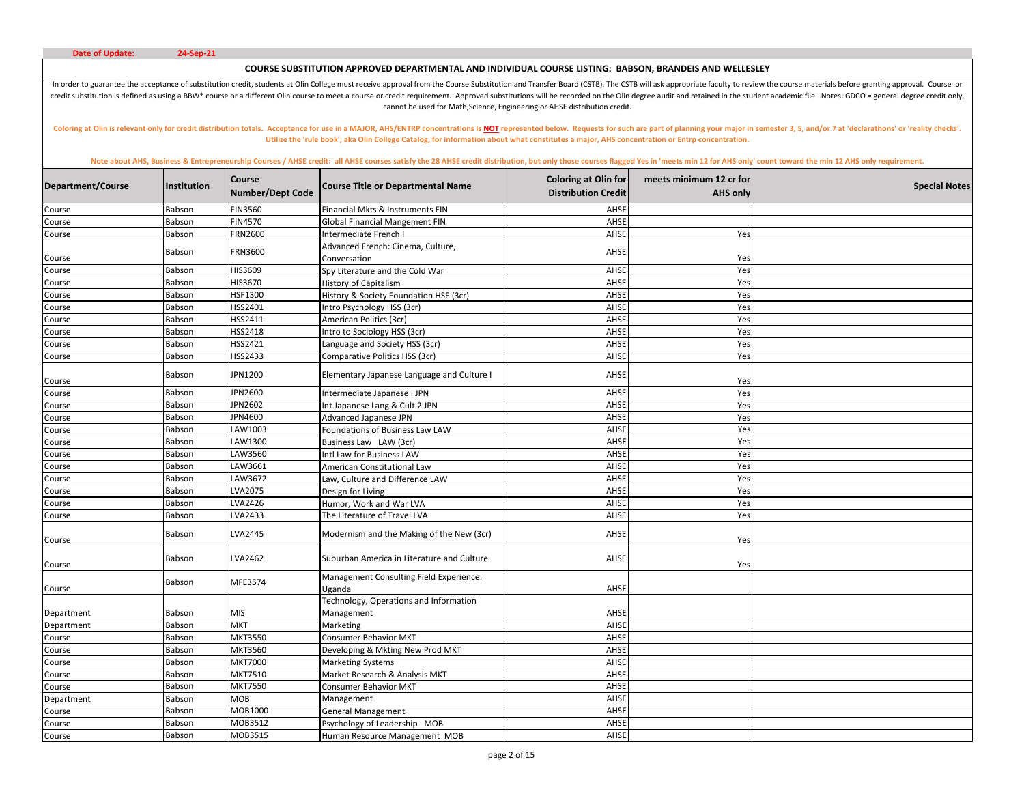# **COURSE SUBSTITUTION APPROVED DEPARTMENTAL AND INDIVIDUAL COURSE LISTING: BABSON, BRANDEIS AND WELLESLEY**

In order to guarantee the acceptance of substitution credit, students at Olin College must receive approval from the Course Substitution and Transfer Board (CSTB). The CSTB will ask appropriate faculty to review the course credit substitution is defined as using a BBW\* course or a different Olin course to meet a course or credit requirement. Approved substitutions will be recorded on the Olin degree audit and retained in the student academic cannot be used for Math,Science, Engineering or AHSE distribution credit.

Coloring at Olin is relevant only for credit distribution totals. Acceptance for use in a MAJOR, AHS/ENTRP concentrations is NOT represented below. Requests for such are part of planning your major in semester 3, 5, and/or **Utilize the 'rule book', aka Olin College Catalog, for information about what constitutes a major, AHS concentration or Entrp concentration.** 

| Department/Course | Institution | <b>Course</b><br><b>Number/Dept Code</b> | <b>Course Title or Departmental Name</b>             | <b>Coloring at Olin for</b><br><b>Distribution Credit</b> | meets minimum 12 cr for<br><b>AHS only</b> | <b>Special Notes</b> |
|-------------------|-------------|------------------------------------------|------------------------------------------------------|-----------------------------------------------------------|--------------------------------------------|----------------------|
| Course            | Babson      | <b>FIN3560</b>                           | Financial Mkts & Instruments FIN                     | AHSE                                                      |                                            |                      |
| Course            | Babson      | <b>FIN4570</b>                           | <b>Global Financial Mangement FIN</b>                | AHSE                                                      |                                            |                      |
| Course            | Babson      | FRN2600                                  | ntermediate French I                                 | AHSE                                                      | Yes                                        |                      |
|                   | Babson      | <b>FRN3600</b>                           | Advanced French: Cinema, Culture,                    | AHSE                                                      |                                            |                      |
| Course            |             |                                          | Conversation                                         | AHSE                                                      | Yes                                        |                      |
| Course            | Babson      | HIS3609                                  | Spy Literature and the Cold War                      |                                                           | Yes                                        |                      |
| Course            | Babson      | HIS3670                                  | <b>History of Capitalism</b>                         | AHSE<br>AHSE                                              | Yes                                        |                      |
| Course            | Babson      | HSF1300<br>HSS2401                       | History & Society Foundation HSF (3cr)               | AHSE                                                      | Yes                                        |                      |
| Course            | Babson      |                                          | Intro Psychology HSS (3cr)                           |                                                           | Yes                                        |                      |
| Course            | Babson      | HSS2411                                  | American Politics (3cr)                              | AHSE                                                      | Yes                                        |                      |
| Course            | Babson      | HSS2418                                  | ntro to Sociology HSS (3cr)                          | AHSE                                                      | Yes                                        |                      |
| Course            | Babson      | HSS2421                                  | Language and Society HSS (3cr)                       | AHSE                                                      | Yes                                        |                      |
| Course            | Babson      | HSS2433                                  | Comparative Politics HSS (3cr)                       | AHSE                                                      | Yes                                        |                      |
| Course            | Babson      | JPN1200                                  | Elementary Japanese Language and Culture I           | AHSE                                                      | Yes                                        |                      |
| Course            | Babson      | JPN2600                                  | ntermediate Japanese I JPN                           | AHSE                                                      | Yes                                        |                      |
| Course            | Babson      | JPN2602                                  | Int Japanese Lang & Cult 2 JPN                       | AHSE                                                      | Yes                                        |                      |
| Course            | Babson      | JPN4600                                  | Advanced Japanese JPN                                | AHSE                                                      | Yes                                        |                      |
| Course            | Babson      | LAW1003                                  | Foundations of Business Law LAW                      | AHSE                                                      | Yes                                        |                      |
| Course            | Babson      | LAW1300                                  | Business Law LAW (3cr)                               | AHSE                                                      | Yes                                        |                      |
| Course            | Babson      | LAW3560                                  | ntl Law for Business LAW                             | AHSE                                                      | Yes                                        |                      |
| Course            | Babson      | LAW3661                                  | American Constitutional Law                          | AHSE                                                      | Yes                                        |                      |
| Course            | Babson      | LAW3672                                  | Law, Culture and Difference LAW                      | AHSE                                                      | Yes                                        |                      |
| Course            | Babson      | LVA2075                                  | Design for Living                                    | AHSE                                                      | Yes                                        |                      |
| Course            | Babson      | LVA2426                                  | Humor, Work and War LVA                              | AHSE                                                      | Yes                                        |                      |
| Course            | Babson      | LVA2433                                  | The Literature of Travel LVA                         | AHSE                                                      | Yes                                        |                      |
| Course            | Babson      | LVA2445                                  | Modernism and the Making of the New (3cr)            | AHSE                                                      | Yes                                        |                      |
| Course            | Babson      | LVA2462                                  | Suburban America in Literature and Culture           | AHSE                                                      | Yes                                        |                      |
| Course            | Babson      | MFE3574                                  | Management Consulting Field Experience:<br>Uganda    | AHSE                                                      |                                            |                      |
| Department        | Babson      | MIS                                      | Technology, Operations and Information<br>Management | AHSE                                                      |                                            |                      |
| Department        | Babson      | <b>MKT</b>                               | Marketing                                            | AHSE                                                      |                                            |                      |
| Course            | Babson      | <b>MKT3550</b>                           | Consumer Behavior MKT                                | AHSE                                                      |                                            |                      |
| Course            | Babson      | MKT3560                                  | Developing & Mkting New Prod MKT                     | AHSE                                                      |                                            |                      |
| Course            | Babson      | <b>MKT7000</b>                           | Marketing Systems                                    | AHSE                                                      |                                            |                      |
| Course            | Babson      | MKT7510                                  | Market Research & Analysis MKT                       | AHSE                                                      |                                            |                      |
| Course            | Babson      | <b>MKT7550</b>                           | Consumer Behavior MKT                                | AHSE                                                      |                                            |                      |
| Department        | Babson      | MOB                                      | Management                                           | AHSE                                                      |                                            |                      |
| Course            | Babson      | MOB1000                                  | General Management                                   | AHSE                                                      |                                            |                      |
| Course            | Babson      | MOB3512                                  | Psychology of Leadership MOB                         | AHSE                                                      |                                            |                      |
| Course            | Babson      | MOB3515                                  | Human Resource Management MOB                        | AHSE                                                      |                                            |                      |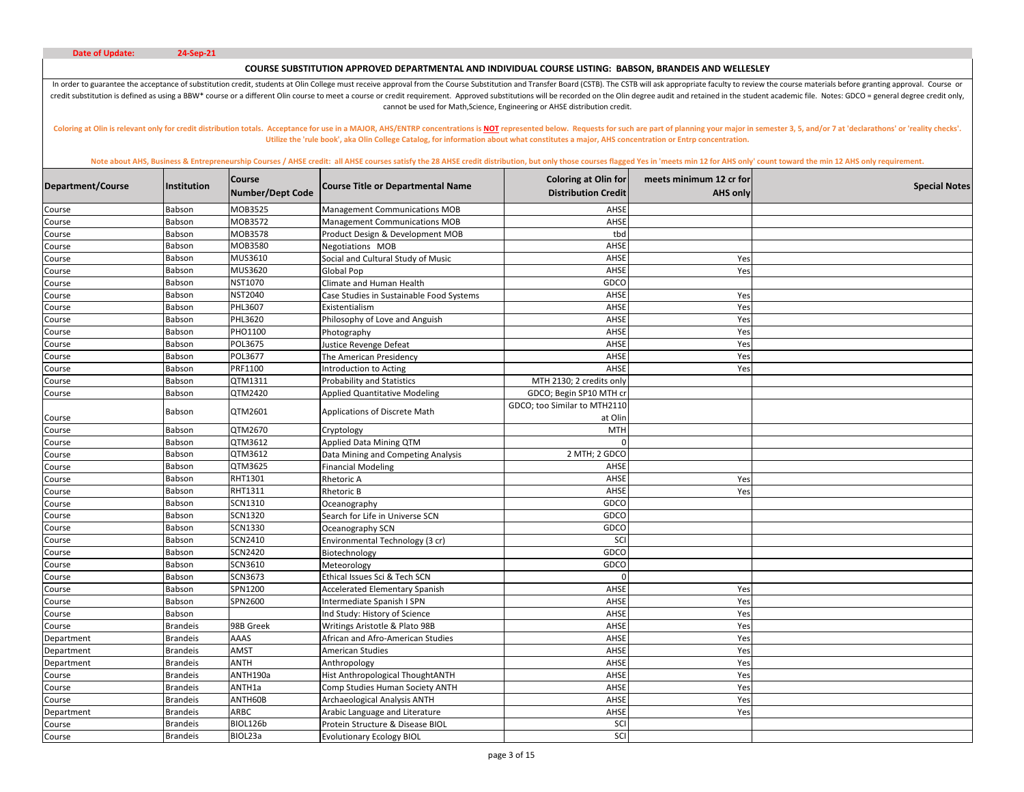# **COURSE SUBSTITUTION APPROVED DEPARTMENTAL AND INDIVIDUAL COURSE LISTING: BABSON, BRANDEIS AND WELLESLEY**

In order to guarantee the acceptance of substitution credit, students at Olin College must receive approval from the Course Substitution and Transfer Board (CSTB). The CSTB will ask appropriate faculty to review the course credit substitution is defined as using a BBW\* course or a different Olin course to meet a course or credit requirement. Approved substitutions will be recorded on the Olin degree audit and retained in the student academic cannot be used for Math,Science, Engineering or AHSE distribution credit.

Coloring at Olin is relevant only for credit distribution totals. Acceptance for use in a MAJOR, AHS/ENTRP concentrations is NOT represented below. Requests for such are part of planning your major in semester 3, 5, and/or **Utilize the 'rule book', aka Olin College Catalog, for information about what constitutes a major, AHS concentration or Entrp concentration.** 

|                   |                 | Course           |                                          | <b>Coloring at Olin for</b>  | meets minimum 12 cr for |                      |
|-------------------|-----------------|------------------|------------------------------------------|------------------------------|-------------------------|----------------------|
| Department/Course | Institution     | Number/Dept Code | <b>Course Title or Departmental Name</b> | <b>Distribution Credit</b>   | <b>AHS only</b>         | <b>Special Notes</b> |
| Course            | Babson          | MOB3525          | <b>Management Communications MOB</b>     | AHSE                         |                         |                      |
| Course            | Babson          | MOB3572          | <b>Management Communications MOB</b>     | AHSE                         |                         |                      |
| Course            | Babson          | MOB3578          | Product Design & Development MOB         | tbd                          |                         |                      |
| Course            | Babson          | MOB3580          | Negotiations MOB                         | AHSE                         |                         |                      |
| Course            | Babson          | MUS3610          | Social and Cultural Study of Music       | AHSE                         | Yes                     |                      |
| Course            | Babson          | MUS3620          | <b>Global Pop</b>                        | AHSE                         | Yes                     |                      |
| Course            | Babson          | NST1070          | Climate and Human Health                 | GDCO                         |                         |                      |
| Course            | Babson          | NST2040          | Case Studies in Sustainable Food Systems | AHSE                         | Yes                     |                      |
| Course            | Babson          | PHL3607          | Existentialism                           | AHSE                         | Yes                     |                      |
| Course            | Babson          | PHL3620          | Philosophy of Love and Anguish           | AHSE                         | Yes                     |                      |
| Course            | Babson          | PHO1100          | Photography                              | AHSE                         | Yes                     |                      |
| Course            | Babson          | POL3675          | Justice Revenge Defeat                   | AHSE                         | Yes                     |                      |
| Course            | Babson          | POL3677          | The American Presidency                  | AHSE                         | Yes                     |                      |
| Course            | Babson          | PRF1100          | ntroduction to Acting                    | AHSE                         | Yes                     |                      |
| Course            | Babson          | QTM1311          | <b>Probability and Statistics</b>        | MTH 2130; 2 credits only     |                         |                      |
| Course            | Babson          | QTM2420          | <b>Applied Quantitative Modeling</b>     | GDCO; Begin SP10 MTH cr      |                         |                      |
|                   | Babson          | QTM2601          | Applications of Discrete Math            | GDCO; too Similar to MTH2110 |                         |                      |
| Course            |                 |                  |                                          | at Olin                      |                         |                      |
| Course            | Babson          | QTM2670          | Cryptology                               | <b>MTH</b>                   |                         |                      |
| Course            | Babson          | QTM3612          | Applied Data Mining QTM                  | C                            |                         |                      |
| Course            | Babson          | QTM3612          | Data Mining and Competing Analysis       | 2 MTH; 2 GDCO                |                         |                      |
| Course            | Babson          | QTM3625          | <b>Financial Modeling</b>                | AHSE                         |                         |                      |
| Course            | Babson          | RHT1301          | Rhetoric A                               | AHSE                         | Yes                     |                      |
| Course            | Babson          | RHT1311          | Rhetoric B                               | AHSE                         | Yes                     |                      |
| Course            | Babson          | SCN1310          | Oceanography                             | GDCO                         |                         |                      |
| Course            | Babson          | SCN1320          | Search for Life in Universe SCN          | GDCO                         |                         |                      |
| Course            | Babson          | SCN1330          | Oceanography SCN                         | GDCC                         |                         |                      |
| Course            | Babson          | SCN2410          | Environmental Technology (3 cr)          | SCI                          |                         |                      |
| Course            | Babson          | SCN2420          | Biotechnology                            | GDCC                         |                         |                      |
| Course            | Babson          | SCN3610          | Meteorology                              | GDCO                         |                         |                      |
| Course            | Babson          | SCN3673          | Ethical Issues Sci & Tech SCN            | $\Omega$                     |                         |                      |
| Course            | Babson          | SPN1200          | <b>Accelerated Elementary Spanish</b>    | AHSE                         | Yes                     |                      |
| Course            | Babson          | SPN2600          | ntermediate Spanish I SPN                | AHSE                         | Yes                     |                      |
| Course            | Babson          |                  | nd Study: History of Science             | AHSI                         | Yes                     |                      |
| Course            | <b>Brandeis</b> | 98B Greek        | Writings Aristotle & Plato 98B           | AHSE                         | Yes                     |                      |
| Department        | <b>Brandeis</b> | AAAS             | African and Afro-American Studies        | AHSE                         | Yes                     |                      |
| Department        | <b>Brandeis</b> | AMST             | American Studies                         | AHSE                         | Yes                     |                      |
| Department        | <b>Brandeis</b> | ANTH             | Anthropology                             | AHSE                         | Yes                     |                      |
| Course            | <b>Brandeis</b> | ANTH190a         | Hist Anthropological ThoughtANTH         | AHSE                         | Yes                     |                      |
| Course            | <b>Brandeis</b> | ANTH1a           | Comp Studies Human Society ANTH          | AHSE                         | Yes                     |                      |
| Course            | <b>Brandeis</b> | ANTH60B          | <b>Archaeological Analysis ANTH</b>      | AHSE                         | Yes                     |                      |
| Department        | <b>Brandeis</b> | <b>ARBC</b>      | Arabic Language and Literature           | AHSE                         | Yes                     |                      |
| Course            | <b>Brandeis</b> | BIOL126b         | Protein Structure & Disease BIOL         | SCI                          |                         |                      |
| Course            | <b>Brandeis</b> | BIOL23a          | <b>Evolutionary Ecology BIOL</b>         | SCI                          |                         |                      |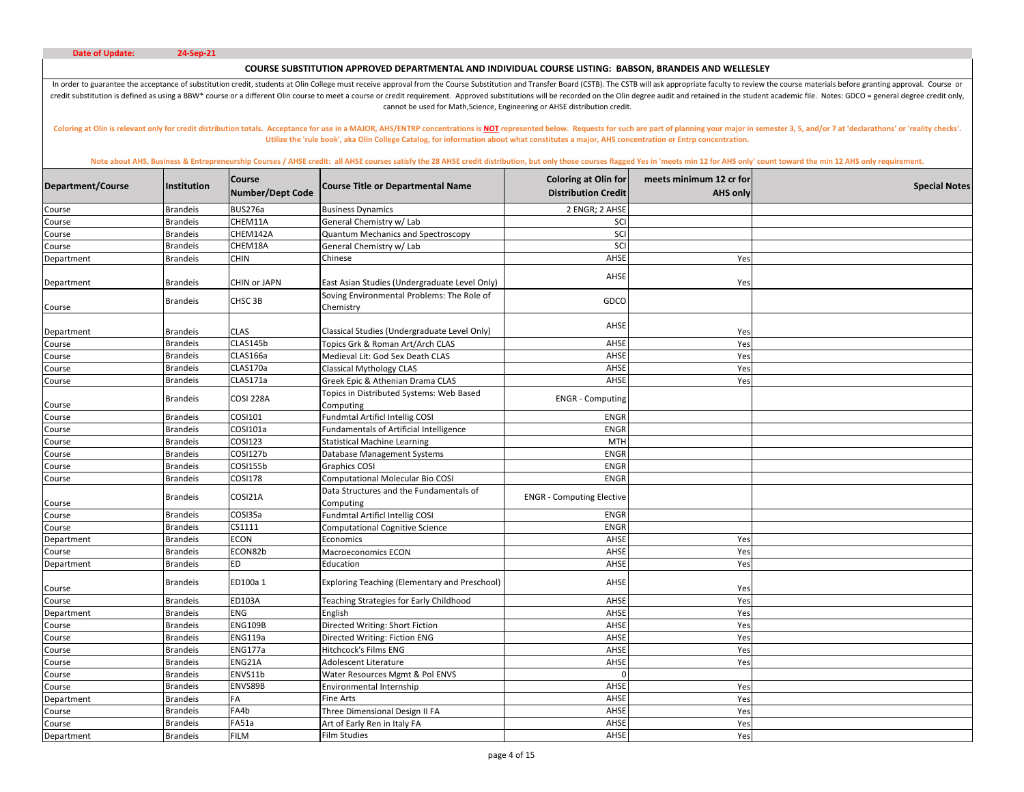# **COURSE SUBSTITUTION APPROVED DEPARTMENTAL AND INDIVIDUAL COURSE LISTING: BABSON, BRANDEIS AND WELLESLEY**

In order to guarantee the acceptance of substitution credit, students at Olin College must receive approval from the Course Substitution and Transfer Board (CSTB). The CSTB will ask appropriate faculty to review the course credit substitution is defined as using a BBW\* course or a different Olin course to meet a course or credit requirement. Approved substitutions will be recorded on the Olin degree audit and retained in the student academic cannot be used for Math,Science, Engineering or AHSE distribution credit.

Coloring at Olin is relevant only for credit distribution totals. Acceptance for use in a MAJOR, AHS/ENTRP concentrations is NOT represented below. Requests for such are part of planning your major in semester 3, 5, and/or **Utilize the 'rule book', aka Olin College Catalog, for information about what constitutes a major, AHS concentration or Entrp concentration.** 

| Department/Course | Institution     | <b>Course</b><br><b>Number/Dept Code</b> | <b>Course Title or Departmental Name</b>                | <b>Coloring at Olin for</b><br><b>Distribution Credit</b> | meets minimum 12 cr for<br><b>AHS only</b> | <b>Special Notes</b> |
|-------------------|-----------------|------------------------------------------|---------------------------------------------------------|-----------------------------------------------------------|--------------------------------------------|----------------------|
| Course            | <b>Brandeis</b> | BUS276a                                  | <b>Business Dynamics</b>                                | 2 ENGR; 2 AHSE                                            |                                            |                      |
| Course            | <b>Brandeis</b> | CHEM11A                                  | General Chemistry w/ Lab                                | SCI                                                       |                                            |                      |
| Course            | <b>Brandeis</b> | CHEM142A                                 | Quantum Mechanics and Spectroscopy                      | SCI                                                       |                                            |                      |
| Course            | <b>Brandeis</b> | CHEM18A                                  | General Chemistry w/ Lab                                | SCI                                                       |                                            |                      |
| Department        | <b>Brandeis</b> | <b>CHIN</b>                              | Chinese                                                 | AHSE                                                      | Yes                                        |                      |
| Department        | <b>Brandeis</b> | CHIN or JAPN                             | East Asian Studies (Undergraduate Level Only)           | AHSE                                                      | Yes                                        |                      |
| Course            | <b>Brandeis</b> | CHSC 3B                                  | Soving Environmental Problems: The Role of<br>Chemistry | GDCO                                                      |                                            |                      |
| Department        | <b>Brandeis</b> | <b>CLAS</b>                              | Classical Studies (Undergraduate Level Only)            | AHSE                                                      | Yes                                        |                      |
| Course            | <b>Brandeis</b> | CLAS145b                                 | Topics Grk & Roman Art/Arch CLAS                        | AHSE                                                      | Yes                                        |                      |
| Course            | <b>Brandeis</b> | CLAS166a                                 | Medieval Lit: God Sex Death CLAS                        | AHSE                                                      | Yes                                        |                      |
| Course            | <b>Brandeis</b> | CLAS170a                                 | <b>Classical Mythology CLAS</b>                         | AHSE                                                      | Yes                                        |                      |
| Course            | <b>Brandeis</b> | CLAS171a                                 | Greek Epic & Athenian Drama CLAS                        | AHSE                                                      | Yes                                        |                      |
| Course            | <b>Brandeis</b> | <b>COSI 228A</b>                         | Topics in Distributed Systems: Web Based<br>Computing   | <b>ENGR</b> - Computing                                   |                                            |                      |
| Course            | <b>Brandeis</b> | COSI101                                  | Fundmtal Artificl Intellig COSI                         | <b>ENGR</b>                                               |                                            |                      |
| Course            | <b>Brandeis</b> | COSI101a                                 | <b>Fundamentals of Artificial Intelligence</b>          | <b>ENGR</b>                                               |                                            |                      |
| Course            | <b>Brandeis</b> | COSI123                                  | <b>Statistical Machine Learning</b>                     | <b>MTH</b>                                                |                                            |                      |
| Course            | <b>Brandeis</b> | COSI127b                                 | Database Management Systems                             | <b>ENGR</b>                                               |                                            |                      |
| Course            | <b>Brandeis</b> | COSI155b                                 | <b>Graphics COSI</b>                                    | <b>ENGR</b>                                               |                                            |                      |
| Course            | <b>Brandeis</b> | COSI178                                  | Computational Molecular Bio COSI                        | <b>ENGR</b>                                               |                                            |                      |
| Course            | <b>Brandeis</b> | COSI21A                                  | Data Structures and the Fundamentals of<br>Computing    | <b>ENGR</b> - Computing Elective                          |                                            |                      |
| Course            | <b>Brandeis</b> | COSI35a                                  | <b>Fundmtal Artificl Intellig COSI</b>                  | ENGR                                                      |                                            |                      |
| Course            | <b>Brandeis</b> | CS1111                                   | <b>Computational Cognitive Science</b>                  | <b>ENGR</b>                                               |                                            |                      |
| Department        | <b>Brandeis</b> | <b>ECON</b>                              | Economics                                               | AHSI                                                      | Yes                                        |                      |
| Course            | <b>Brandeis</b> | ECON82b                                  | Macroeconomics ECON                                     | AHSE                                                      | Yes                                        |                      |
| Department        | <b>Brandeis</b> | <b>ED</b>                                | Education                                               | AHSE                                                      | Yes                                        |                      |
| Course            | <b>Brandeis</b> | ED100a 1                                 | <b>Exploring Teaching (Elementary and Preschool)</b>    | AHSE                                                      | Yes                                        |                      |
| Course            | <b>Brandeis</b> | ED103A                                   | <b>Teaching Strategies for Early Childhood</b>          | AHSE                                                      | Yes                                        |                      |
| Department        | <b>Brandeis</b> | <b>ENG</b>                               | English                                                 | AHSE                                                      | Yes                                        |                      |
| Course            | <b>Brandeis</b> | <b>ENG109B</b>                           | Directed Writing: Short Fiction                         | AHSE                                                      | Yes                                        |                      |
| Course            | <b>Brandeis</b> | <b>ENG119a</b>                           | Directed Writing: Fiction ENG                           | AHSE                                                      | Yes                                        |                      |
| Course            | <b>Brandeis</b> | ENG177a                                  | Hitchcock's Films ENG                                   | AHSE                                                      | Yes                                        |                      |
| Course            | <b>Brandeis</b> | ENG21A                                   | Adolescent Literature                                   | AHSE                                                      | Yes                                        |                      |
| Course            | <b>Brandeis</b> | ENVS11b                                  | Water Resources Mgmt & Pol ENVS                         | $\sqrt{ }$                                                |                                            |                      |
| Course            | <b>Brandeis</b> | ENVS89B                                  | Environmental Internship                                | AHSE                                                      | Yes                                        |                      |
| Department        | <b>Brandeis</b> | FA                                       | Fine Arts                                               | AHSE                                                      | Yes                                        |                      |
| Course            | <b>Brandeis</b> | FA4b                                     | Three Dimensional Design II FA                          | AHSE                                                      | Yes                                        |                      |
| Course            | <b>Brandeis</b> | FA51a                                    | Art of Early Ren in Italy FA                            | AHSE                                                      | Yes                                        |                      |
| Department        | <b>Brandeis</b> | <b>FILM</b>                              | Film Studies                                            | AHSE                                                      | Yes                                        |                      |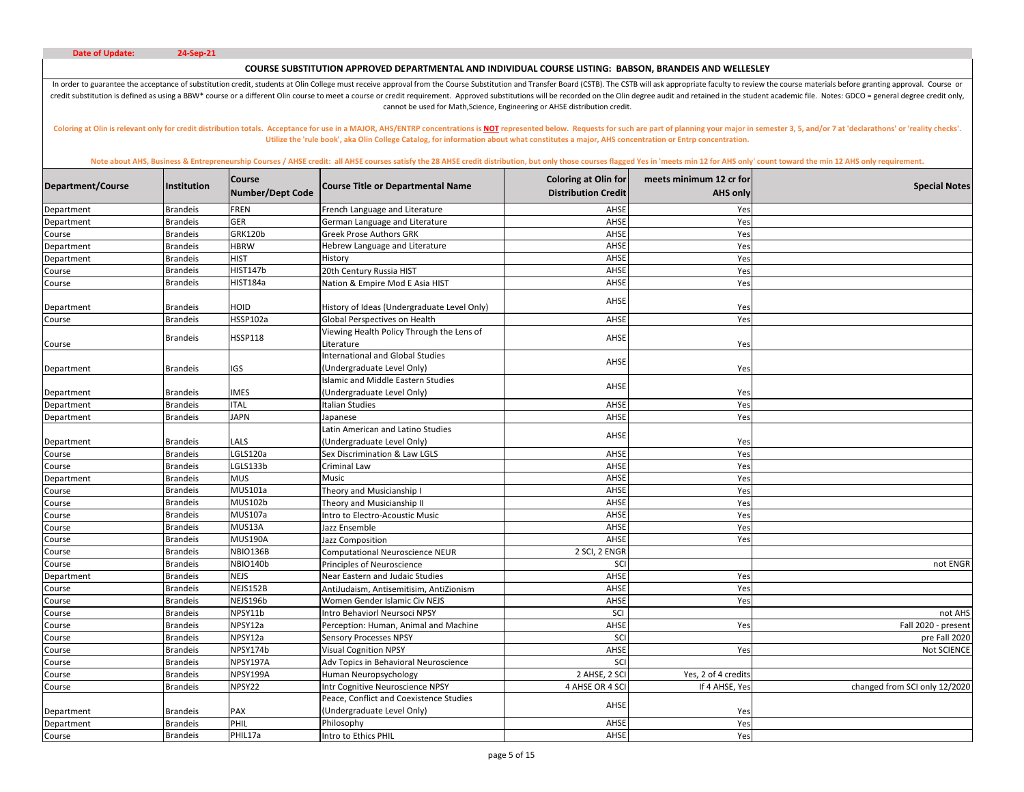# **COURSE SUBSTITUTION APPROVED DEPARTMENTAL AND INDIVIDUAL COURSE LISTING: BABSON, BRANDEIS AND WELLESLEY**

In order to guarantee the acceptance of substitution credit, students at Olin College must receive approval from the Course Substitution and Transfer Board (CSTB). The CSTB will ask appropriate faculty to review the course credit substitution is defined as using a BBW\* course or a different Olin course to meet a course or credit requirement. Approved substitutions will be recorded on the Olin degree audit and retained in the student academic cannot be used for Math,Science, Engineering or AHSE distribution credit.

Coloring at Olin is relevant only for credit distribution totals. Acceptance for use in a MAJOR, AHS/ENTRP concentrations is NOT represented below. Requests for such are part of planning your major in semester 3, 5, and/or **Utilize the 'rule book', aka Olin College Catalog, for information about what constitutes a major, AHS concentration or Entrp concentration.** 

| Department/Course | <b>Institution</b> | <b>Course</b><br><b>Number/Dept Code</b> | <b>Course Title or Departmental Name</b>                                | <b>Coloring at Olin for</b><br><b>Distribution Credit</b> | meets minimum 12 cr for<br><b>AHS only</b> | <b>Special Notes</b>          |
|-------------------|--------------------|------------------------------------------|-------------------------------------------------------------------------|-----------------------------------------------------------|--------------------------------------------|-------------------------------|
| Department        | <b>Brandeis</b>    | <b>FREN</b>                              | French Language and Literature                                          | AHSE                                                      | Yes                                        |                               |
| Department        | <b>Brandeis</b>    | <b>GER</b>                               | German Language and Literature                                          | AHSE                                                      | Yes                                        |                               |
| Course            | <b>Brandeis</b>    | <b>GRK120b</b>                           | <b>Greek Prose Authors GRK</b>                                          | AHSE                                                      | Yes                                        |                               |
| Department        | <b>Brandeis</b>    | <b>HBRW</b>                              | Hebrew Language and Literature                                          | AHSE                                                      | Yes                                        |                               |
| Department        | <b>Brandeis</b>    | <b>HIST</b>                              | History                                                                 | AHSE                                                      | Yes                                        |                               |
| Course            | <b>Brandeis</b>    | <b>HIST147b</b>                          | 20th Century Russia HIST                                                | AHSE                                                      | Yes                                        |                               |
| Course            | <b>Brandeis</b>    | HIST184a                                 | Nation & Empire Mod E Asia HIST                                         | AHSE                                                      | Yes                                        |                               |
| Department        | <b>Brandeis</b>    | HOID                                     | History of Ideas (Undergraduate Level Only)                             | AHSE                                                      | Yes                                        |                               |
| Course            | <b>Brandeis</b>    | HSSP102a                                 | Global Perspectives on Health                                           | AHSE                                                      | Yes                                        |                               |
| Course            | <b>Brandeis</b>    | <b>HSSP118</b>                           | Viewing Health Policy Through the Lens of<br>Literature                 | AHSE                                                      | Yes                                        |                               |
|                   |                    |                                          | <b>International and Global Studies</b>                                 | AHSE                                                      |                                            |                               |
| Department        | <b>Brandeis</b>    | IGS                                      | (Undergraduate Level Only)<br><b>Islamic and Middle Eastern Studies</b> |                                                           | Yes                                        |                               |
| Department        | <b>Brandeis</b>    | <b>IMES</b>                              | (Undergraduate Level Only)                                              | AHSE                                                      | Yes                                        |                               |
| Department        | <b>Brandeis</b>    | <b>ITAL</b>                              | Italian Studies                                                         | AHSE                                                      | Yes                                        |                               |
| Department        | <b>Brandeis</b>    | <b>JAPN</b>                              | Japanese                                                                | AHSE                                                      | Yes                                        |                               |
|                   |                    |                                          | Latin American and Latino Studies                                       | AHSE                                                      |                                            |                               |
| Department        | <b>Brandeis</b>    | LALS                                     | (Undergraduate Level Only)                                              |                                                           | Yes                                        |                               |
| Course            | <b>Brandeis</b>    | LGLS120a                                 | Sex Discrimination & Law LGLS                                           | AHSE                                                      | Yes                                        |                               |
| Course            | <b>Brandeis</b>    | LGLS133b                                 | Criminal Law                                                            | AHSE                                                      | Yes                                        |                               |
| Department        | <b>Brandeis</b>    | <b>MUS</b>                               | Music                                                                   | AHSE                                                      | Yes                                        |                               |
| Course            | <b>Brandeis</b>    | MUS101a                                  | Theory and Musicianship I                                               | AHSE                                                      | Yes                                        |                               |
| Course            | <b>Brandeis</b>    | MUS102b                                  | Theory and Musicianship II                                              | AHSE                                                      | Yes                                        |                               |
| Course            | <b>Brandeis</b>    | MUS107a                                  | ntro to Electro-Acoustic Music                                          | AHSE                                                      | Yes                                        |                               |
| Course            | <b>Brandeis</b>    | MUS13A                                   | Jazz Ensemble                                                           | AHSE                                                      | Yes                                        |                               |
| Course            | <b>Brandeis</b>    | <b>MUS190A</b>                           | Jazz Composition                                                        | AHSE                                                      | Yes                                        |                               |
| Course            | <b>Brandeis</b>    | NBIO136B                                 | Computational Neuroscience NEUR                                         | 2 SCI, 2 ENGR                                             |                                            |                               |
| Course            | <b>Brandeis</b>    | NBIO140b                                 | Principles of Neuroscience                                              | SCI                                                       |                                            | not ENGR                      |
| Department        | <b>Brandeis</b>    | <b>NEJS</b>                              | Near Eastern and Judaic Studies                                         | AHSE                                                      | Yes                                        |                               |
| Course            | <b>Brandeis</b>    | NEJS152B                                 | AntiJudaism, Antisemitisim, AntiZionism                                 | AHSE                                                      | Yes                                        |                               |
| Course            | <b>Brandeis</b>    | NEJS196b                                 | Women Gender Islamic Civ NEJS                                           | AHSE                                                      | Yes                                        |                               |
| Course            | <b>Brandeis</b>    | NPSY11b                                  | Intro Behaviorl Neursoci NPSY                                           | SCI                                                       |                                            | not AHS                       |
| Course            | <b>Brandeis</b>    | NPSY12a                                  | Perception: Human, Animal and Machine                                   | AHSE                                                      | Yes                                        | Fall 2020 - present           |
| Course            | <b>Brandeis</b>    | NPSY12a                                  | <b>Sensory Processes NPSY</b>                                           | SCI                                                       |                                            | pre Fall 2020                 |
| Course            | <b>Brandeis</b>    | NPSY174b                                 | <b>Visual Cognition NPSY</b>                                            | AHSE                                                      | Yes                                        | Not SCIENCE                   |
| Course            | <b>Brandeis</b>    | NPSY197A                                 | Adv Topics in Behavioral Neuroscience                                   | SCI                                                       |                                            |                               |
| Course            | <b>Brandeis</b>    | NPSY199A                                 | Human Neuropsychology                                                   | 2 AHSE, 2 SCI                                             | Yes, 2 of 4 credits                        |                               |
| Course            | <b>Brandeis</b>    | NPSY22                                   | Intr Cognitive Neuroscience NPSY                                        | 4 AHSE OR 4 SCI                                           | If 4 AHSE, Yes                             | changed from SCI only 12/2020 |
|                   |                    |                                          | Peace, Conflict and Coexistence Studies                                 | AHSE                                                      |                                            |                               |
| Department        | <b>Brandeis</b>    | PAX                                      | (Undergraduate Level Only)                                              |                                                           | Yes                                        |                               |
| Department        | <b>Brandeis</b>    | PHIL                                     | Philosophy                                                              | AHSE                                                      | Yes                                        |                               |
| Course            | <b>Brandeis</b>    | PHIL17a                                  | Intro to Ethics PHIL                                                    | AHSE                                                      | Yes                                        |                               |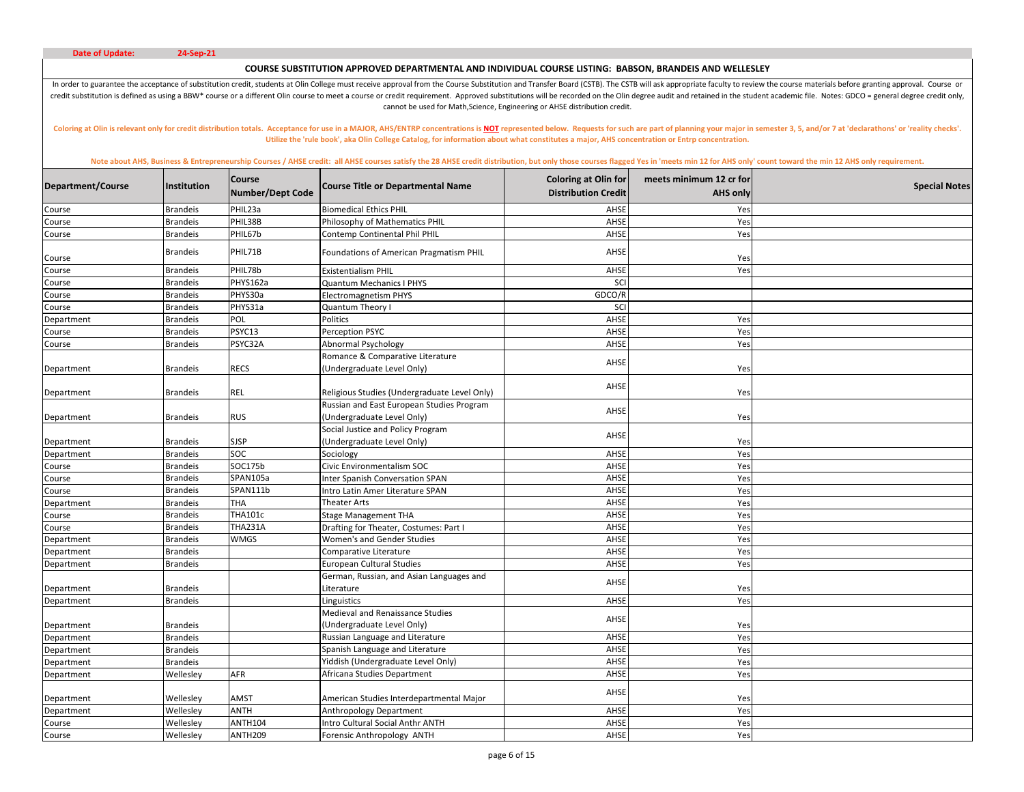# **COURSE SUBSTITUTION APPROVED DEPARTMENTAL AND INDIVIDUAL COURSE LISTING: BABSON, BRANDEIS AND WELLESLEY**

In order to guarantee the acceptance of substitution credit, students at Olin College must receive approval from the Course Substitution and Transfer Board (CSTB). The CSTB will ask appropriate faculty to review the course credit substitution is defined as using a BBW\* course or a different Olin course to meet a course or credit requirement. Approved substitutions will be recorded on the Olin degree audit and retained in the student academic cannot be used for Math,Science, Engineering or AHSE distribution credit.

Coloring at Olin is relevant only for credit distribution totals. Acceptance for use in a MAJOR, AHS/ENTRP concentrations is NOT represented below. Requests for such are part of planning your major in semester 3, 5, and/or **Utilize the 'rule book', aka Olin College Catalog, for information about what constitutes a major, AHS concentration or Entrp concentration.** 

| <b>Brandeis</b><br>PHIL23a<br>AHSE<br><b>Biomedical Ethics PHIL</b><br>Yes<br>Course<br>PHIL38B<br>AHSE<br><b>Brandeis</b><br>Philosophy of Mathematics PHIL<br>Yes<br>Course<br>PHIL67b<br>AHSE<br>Yes<br>Course<br><b>Brandeis</b><br>Contemp Continental Phil PHIL<br>PHIL71B<br>Foundations of American Pragmatism PHIL<br>AHSE<br><b>Brandeis</b><br>Yes<br>Course<br>PHIL78b<br>AHSE<br><b>Brandeis</b><br><b>Existentialism PHIL</b><br>Yes<br>Course<br>PHYS162a<br>Quantum Mechanics I PHYS<br>SCI<br><b>Brandeis</b><br>Course<br>PHYS30a<br>GDCO/R<br>Course<br><b>Brandeis</b><br><b>Electromagnetism PHYS</b><br>SCI<br>PHYS31a<br><b>Brandeis</b><br>Quantum Theory I<br>Course<br>POL<br>Politics<br>AHSE<br><b>Brandeis</b><br>Yes<br>Department<br>PSYC13<br><b>Brandeis</b><br>Perception PSYC<br>AHSE<br>Yes<br>Course<br>PSYC32A<br>AHSE<br><b>Brandeis</b><br>Abnormal Psychology<br>Yes<br>Course<br>Romance & Comparative Literature<br>AHSE<br><b>Brandeis</b><br>RECS<br>(Undergraduate Level Only)<br>Department<br>Yes<br>AHSE<br><b>REL</b><br>Religious Studies (Undergraduate Level Only)<br><b>Brandeis</b><br>Yes<br>Department<br>Russian and East European Studies Program<br>AHSE<br><b>Brandeis</b><br><b>RUS</b><br>(Undergraduate Level Only)<br>Department<br>Yes<br>Social Justice and Policy Program<br>AHSE<br>(Undergraduate Level Only)<br><b>SJSP</b><br><b>Brandeis</b><br>Department<br>Yes<br><b>SOC</b><br><b>Brandeis</b><br>AHSE<br>Yes<br>Sociology<br>Department<br>SOC175b<br>AHSE<br><b>Brandeis</b><br>Civic Environmentalism SOC<br>Yes<br>Course<br>SPAN105a<br><b>Brandeis</b><br>Inter Spanish Conversation SPAN<br>AHSE<br>Yes<br>Course<br>SPAN111b<br>AHSE<br><b>Brandeis</b><br>Intro Latin Amer Literature SPAN<br>Yes<br>Course<br>THA<br><b>Brandeis</b><br><b>Theater Arts</b><br>AHSE<br>Department<br>Yes<br><b>THA101c</b><br>AHSE<br>Yes<br><b>Brandeis</b><br><b>Stage Management THA</b><br>Course<br><b>THA231A</b><br><b>Brandeis</b><br>AHSE<br>Course<br>Drafting for Theater, Costumes: Part I<br>Yes<br><b>WMGS</b><br>Women's and Gender Studies<br>AHSE<br>Yes<br>Department<br><b>Brandeis</b><br>AHSE<br>Yes<br>Department<br><b>Brandeis</b><br>Comparative Literature<br><b>European Cultural Studies</b><br>AHSE<br>Department<br><b>Brandeis</b><br>Yes<br>German, Russian, and Asian Languages and<br>AHSE<br>Literature<br><b>Brandeis</b><br>Yes<br>Department<br><b>Brandeis</b><br>AHSE<br>Yes<br>Department<br>Linguistics<br>Medieval and Renaissance Studies<br>AHSE<br>(Undergraduate Level Only)<br>Department<br><b>Brandeis</b><br>Yes<br>Russian Language and Literature<br>AHSE<br><b>Brandeis</b><br>Yes<br>Department<br><b>Brandeis</b><br>AHSE<br>Spanish Language and Literature<br>Yes<br>Department<br>Yiddish (Undergraduate Level Only)<br>Department<br><b>Brandeis</b><br>AHSE<br>Yes<br>AHSE<br>Africana Studies Department<br>AFR<br>Yes<br>Wellesley<br>Department<br>AHSE<br><b>AMST</b><br>Wellesley<br>American Studies Interdepartmental Major<br>Yes<br>Department<br><b>ANTH</b><br>Wellesley<br><b>Anthropology Department</b><br>AHSE<br>Yes<br>Department<br><b>ANTH104</b><br>Wellesley<br>Intro Cultural Social Anthr ANTH<br>AHSE<br>Yes<br>Course | Department/Course | Institution | <b>Course</b><br><b>Number/Dept Code</b> | <b>Course Title or Departmental Name</b> | <b>Coloring at Olin for</b><br><b>Distribution Credit</b> | meets minimum 12 cr for<br><b>AHS only</b> | <b>Special Notes</b> |
|------------------------------------------------------------------------------------------------------------------------------------------------------------------------------------------------------------------------------------------------------------------------------------------------------------------------------------------------------------------------------------------------------------------------------------------------------------------------------------------------------------------------------------------------------------------------------------------------------------------------------------------------------------------------------------------------------------------------------------------------------------------------------------------------------------------------------------------------------------------------------------------------------------------------------------------------------------------------------------------------------------------------------------------------------------------------------------------------------------------------------------------------------------------------------------------------------------------------------------------------------------------------------------------------------------------------------------------------------------------------------------------------------------------------------------------------------------------------------------------------------------------------------------------------------------------------------------------------------------------------------------------------------------------------------------------------------------------------------------------------------------------------------------------------------------------------------------------------------------------------------------------------------------------------------------------------------------------------------------------------------------------------------------------------------------------------------------------------------------------------------------------------------------------------------------------------------------------------------------------------------------------------------------------------------------------------------------------------------------------------------------------------------------------------------------------------------------------------------------------------------------------------------------------------------------------------------------------------------------------------------------------------------------------------------------------------------------------------------------------------------------------------------------------------------------------------------------------------------------------------------------------------------------------------------------------------------------------------------------------------------------------------------------------------------------------------------------------------------------------------------------------------------------------------------------------------------------------------------------------------------------------------------------|-------------------|-------------|------------------------------------------|------------------------------------------|-----------------------------------------------------------|--------------------------------------------|----------------------|
|                                                                                                                                                                                                                                                                                                                                                                                                                                                                                                                                                                                                                                                                                                                                                                                                                                                                                                                                                                                                                                                                                                                                                                                                                                                                                                                                                                                                                                                                                                                                                                                                                                                                                                                                                                                                                                                                                                                                                                                                                                                                                                                                                                                                                                                                                                                                                                                                                                                                                                                                                                                                                                                                                                                                                                                                                                                                                                                                                                                                                                                                                                                                                                                                                                                                                    |                   |             |                                          |                                          |                                                           |                                            |                      |
|                                                                                                                                                                                                                                                                                                                                                                                                                                                                                                                                                                                                                                                                                                                                                                                                                                                                                                                                                                                                                                                                                                                                                                                                                                                                                                                                                                                                                                                                                                                                                                                                                                                                                                                                                                                                                                                                                                                                                                                                                                                                                                                                                                                                                                                                                                                                                                                                                                                                                                                                                                                                                                                                                                                                                                                                                                                                                                                                                                                                                                                                                                                                                                                                                                                                                    |                   |             |                                          |                                          |                                                           |                                            |                      |
|                                                                                                                                                                                                                                                                                                                                                                                                                                                                                                                                                                                                                                                                                                                                                                                                                                                                                                                                                                                                                                                                                                                                                                                                                                                                                                                                                                                                                                                                                                                                                                                                                                                                                                                                                                                                                                                                                                                                                                                                                                                                                                                                                                                                                                                                                                                                                                                                                                                                                                                                                                                                                                                                                                                                                                                                                                                                                                                                                                                                                                                                                                                                                                                                                                                                                    |                   |             |                                          |                                          |                                                           |                                            |                      |
|                                                                                                                                                                                                                                                                                                                                                                                                                                                                                                                                                                                                                                                                                                                                                                                                                                                                                                                                                                                                                                                                                                                                                                                                                                                                                                                                                                                                                                                                                                                                                                                                                                                                                                                                                                                                                                                                                                                                                                                                                                                                                                                                                                                                                                                                                                                                                                                                                                                                                                                                                                                                                                                                                                                                                                                                                                                                                                                                                                                                                                                                                                                                                                                                                                                                                    |                   |             |                                          |                                          |                                                           |                                            |                      |
|                                                                                                                                                                                                                                                                                                                                                                                                                                                                                                                                                                                                                                                                                                                                                                                                                                                                                                                                                                                                                                                                                                                                                                                                                                                                                                                                                                                                                                                                                                                                                                                                                                                                                                                                                                                                                                                                                                                                                                                                                                                                                                                                                                                                                                                                                                                                                                                                                                                                                                                                                                                                                                                                                                                                                                                                                                                                                                                                                                                                                                                                                                                                                                                                                                                                                    |                   |             |                                          |                                          |                                                           |                                            |                      |
|                                                                                                                                                                                                                                                                                                                                                                                                                                                                                                                                                                                                                                                                                                                                                                                                                                                                                                                                                                                                                                                                                                                                                                                                                                                                                                                                                                                                                                                                                                                                                                                                                                                                                                                                                                                                                                                                                                                                                                                                                                                                                                                                                                                                                                                                                                                                                                                                                                                                                                                                                                                                                                                                                                                                                                                                                                                                                                                                                                                                                                                                                                                                                                                                                                                                                    |                   |             |                                          |                                          |                                                           |                                            |                      |
|                                                                                                                                                                                                                                                                                                                                                                                                                                                                                                                                                                                                                                                                                                                                                                                                                                                                                                                                                                                                                                                                                                                                                                                                                                                                                                                                                                                                                                                                                                                                                                                                                                                                                                                                                                                                                                                                                                                                                                                                                                                                                                                                                                                                                                                                                                                                                                                                                                                                                                                                                                                                                                                                                                                                                                                                                                                                                                                                                                                                                                                                                                                                                                                                                                                                                    |                   |             |                                          |                                          |                                                           |                                            |                      |
|                                                                                                                                                                                                                                                                                                                                                                                                                                                                                                                                                                                                                                                                                                                                                                                                                                                                                                                                                                                                                                                                                                                                                                                                                                                                                                                                                                                                                                                                                                                                                                                                                                                                                                                                                                                                                                                                                                                                                                                                                                                                                                                                                                                                                                                                                                                                                                                                                                                                                                                                                                                                                                                                                                                                                                                                                                                                                                                                                                                                                                                                                                                                                                                                                                                                                    |                   |             |                                          |                                          |                                                           |                                            |                      |
|                                                                                                                                                                                                                                                                                                                                                                                                                                                                                                                                                                                                                                                                                                                                                                                                                                                                                                                                                                                                                                                                                                                                                                                                                                                                                                                                                                                                                                                                                                                                                                                                                                                                                                                                                                                                                                                                                                                                                                                                                                                                                                                                                                                                                                                                                                                                                                                                                                                                                                                                                                                                                                                                                                                                                                                                                                                                                                                                                                                                                                                                                                                                                                                                                                                                                    |                   |             |                                          |                                          |                                                           |                                            |                      |
|                                                                                                                                                                                                                                                                                                                                                                                                                                                                                                                                                                                                                                                                                                                                                                                                                                                                                                                                                                                                                                                                                                                                                                                                                                                                                                                                                                                                                                                                                                                                                                                                                                                                                                                                                                                                                                                                                                                                                                                                                                                                                                                                                                                                                                                                                                                                                                                                                                                                                                                                                                                                                                                                                                                                                                                                                                                                                                                                                                                                                                                                                                                                                                                                                                                                                    |                   |             |                                          |                                          |                                                           |                                            |                      |
|                                                                                                                                                                                                                                                                                                                                                                                                                                                                                                                                                                                                                                                                                                                                                                                                                                                                                                                                                                                                                                                                                                                                                                                                                                                                                                                                                                                                                                                                                                                                                                                                                                                                                                                                                                                                                                                                                                                                                                                                                                                                                                                                                                                                                                                                                                                                                                                                                                                                                                                                                                                                                                                                                                                                                                                                                                                                                                                                                                                                                                                                                                                                                                                                                                                                                    |                   |             |                                          |                                          |                                                           |                                            |                      |
|                                                                                                                                                                                                                                                                                                                                                                                                                                                                                                                                                                                                                                                                                                                                                                                                                                                                                                                                                                                                                                                                                                                                                                                                                                                                                                                                                                                                                                                                                                                                                                                                                                                                                                                                                                                                                                                                                                                                                                                                                                                                                                                                                                                                                                                                                                                                                                                                                                                                                                                                                                                                                                                                                                                                                                                                                                                                                                                                                                                                                                                                                                                                                                                                                                                                                    |                   |             |                                          |                                          |                                                           |                                            |                      |
|                                                                                                                                                                                                                                                                                                                                                                                                                                                                                                                                                                                                                                                                                                                                                                                                                                                                                                                                                                                                                                                                                                                                                                                                                                                                                                                                                                                                                                                                                                                                                                                                                                                                                                                                                                                                                                                                                                                                                                                                                                                                                                                                                                                                                                                                                                                                                                                                                                                                                                                                                                                                                                                                                                                                                                                                                                                                                                                                                                                                                                                                                                                                                                                                                                                                                    |                   |             |                                          |                                          |                                                           |                                            |                      |
|                                                                                                                                                                                                                                                                                                                                                                                                                                                                                                                                                                                                                                                                                                                                                                                                                                                                                                                                                                                                                                                                                                                                                                                                                                                                                                                                                                                                                                                                                                                                                                                                                                                                                                                                                                                                                                                                                                                                                                                                                                                                                                                                                                                                                                                                                                                                                                                                                                                                                                                                                                                                                                                                                                                                                                                                                                                                                                                                                                                                                                                                                                                                                                                                                                                                                    |                   |             |                                          |                                          |                                                           |                                            |                      |
|                                                                                                                                                                                                                                                                                                                                                                                                                                                                                                                                                                                                                                                                                                                                                                                                                                                                                                                                                                                                                                                                                                                                                                                                                                                                                                                                                                                                                                                                                                                                                                                                                                                                                                                                                                                                                                                                                                                                                                                                                                                                                                                                                                                                                                                                                                                                                                                                                                                                                                                                                                                                                                                                                                                                                                                                                                                                                                                                                                                                                                                                                                                                                                                                                                                                                    |                   |             |                                          |                                          |                                                           |                                            |                      |
|                                                                                                                                                                                                                                                                                                                                                                                                                                                                                                                                                                                                                                                                                                                                                                                                                                                                                                                                                                                                                                                                                                                                                                                                                                                                                                                                                                                                                                                                                                                                                                                                                                                                                                                                                                                                                                                                                                                                                                                                                                                                                                                                                                                                                                                                                                                                                                                                                                                                                                                                                                                                                                                                                                                                                                                                                                                                                                                                                                                                                                                                                                                                                                                                                                                                                    |                   |             |                                          |                                          |                                                           |                                            |                      |
|                                                                                                                                                                                                                                                                                                                                                                                                                                                                                                                                                                                                                                                                                                                                                                                                                                                                                                                                                                                                                                                                                                                                                                                                                                                                                                                                                                                                                                                                                                                                                                                                                                                                                                                                                                                                                                                                                                                                                                                                                                                                                                                                                                                                                                                                                                                                                                                                                                                                                                                                                                                                                                                                                                                                                                                                                                                                                                                                                                                                                                                                                                                                                                                                                                                                                    |                   |             |                                          |                                          |                                                           |                                            |                      |
|                                                                                                                                                                                                                                                                                                                                                                                                                                                                                                                                                                                                                                                                                                                                                                                                                                                                                                                                                                                                                                                                                                                                                                                                                                                                                                                                                                                                                                                                                                                                                                                                                                                                                                                                                                                                                                                                                                                                                                                                                                                                                                                                                                                                                                                                                                                                                                                                                                                                                                                                                                                                                                                                                                                                                                                                                                                                                                                                                                                                                                                                                                                                                                                                                                                                                    |                   |             |                                          |                                          |                                                           |                                            |                      |
|                                                                                                                                                                                                                                                                                                                                                                                                                                                                                                                                                                                                                                                                                                                                                                                                                                                                                                                                                                                                                                                                                                                                                                                                                                                                                                                                                                                                                                                                                                                                                                                                                                                                                                                                                                                                                                                                                                                                                                                                                                                                                                                                                                                                                                                                                                                                                                                                                                                                                                                                                                                                                                                                                                                                                                                                                                                                                                                                                                                                                                                                                                                                                                                                                                                                                    |                   |             |                                          |                                          |                                                           |                                            |                      |
|                                                                                                                                                                                                                                                                                                                                                                                                                                                                                                                                                                                                                                                                                                                                                                                                                                                                                                                                                                                                                                                                                                                                                                                                                                                                                                                                                                                                                                                                                                                                                                                                                                                                                                                                                                                                                                                                                                                                                                                                                                                                                                                                                                                                                                                                                                                                                                                                                                                                                                                                                                                                                                                                                                                                                                                                                                                                                                                                                                                                                                                                                                                                                                                                                                                                                    |                   |             |                                          |                                          |                                                           |                                            |                      |
|                                                                                                                                                                                                                                                                                                                                                                                                                                                                                                                                                                                                                                                                                                                                                                                                                                                                                                                                                                                                                                                                                                                                                                                                                                                                                                                                                                                                                                                                                                                                                                                                                                                                                                                                                                                                                                                                                                                                                                                                                                                                                                                                                                                                                                                                                                                                                                                                                                                                                                                                                                                                                                                                                                                                                                                                                                                                                                                                                                                                                                                                                                                                                                                                                                                                                    |                   |             |                                          |                                          |                                                           |                                            |                      |
|                                                                                                                                                                                                                                                                                                                                                                                                                                                                                                                                                                                                                                                                                                                                                                                                                                                                                                                                                                                                                                                                                                                                                                                                                                                                                                                                                                                                                                                                                                                                                                                                                                                                                                                                                                                                                                                                                                                                                                                                                                                                                                                                                                                                                                                                                                                                                                                                                                                                                                                                                                                                                                                                                                                                                                                                                                                                                                                                                                                                                                                                                                                                                                                                                                                                                    |                   |             |                                          |                                          |                                                           |                                            |                      |
|                                                                                                                                                                                                                                                                                                                                                                                                                                                                                                                                                                                                                                                                                                                                                                                                                                                                                                                                                                                                                                                                                                                                                                                                                                                                                                                                                                                                                                                                                                                                                                                                                                                                                                                                                                                                                                                                                                                                                                                                                                                                                                                                                                                                                                                                                                                                                                                                                                                                                                                                                                                                                                                                                                                                                                                                                                                                                                                                                                                                                                                                                                                                                                                                                                                                                    |                   |             |                                          |                                          |                                                           |                                            |                      |
|                                                                                                                                                                                                                                                                                                                                                                                                                                                                                                                                                                                                                                                                                                                                                                                                                                                                                                                                                                                                                                                                                                                                                                                                                                                                                                                                                                                                                                                                                                                                                                                                                                                                                                                                                                                                                                                                                                                                                                                                                                                                                                                                                                                                                                                                                                                                                                                                                                                                                                                                                                                                                                                                                                                                                                                                                                                                                                                                                                                                                                                                                                                                                                                                                                                                                    |                   |             |                                          |                                          |                                                           |                                            |                      |
|                                                                                                                                                                                                                                                                                                                                                                                                                                                                                                                                                                                                                                                                                                                                                                                                                                                                                                                                                                                                                                                                                                                                                                                                                                                                                                                                                                                                                                                                                                                                                                                                                                                                                                                                                                                                                                                                                                                                                                                                                                                                                                                                                                                                                                                                                                                                                                                                                                                                                                                                                                                                                                                                                                                                                                                                                                                                                                                                                                                                                                                                                                                                                                                                                                                                                    |                   |             |                                          |                                          |                                                           |                                            |                      |
|                                                                                                                                                                                                                                                                                                                                                                                                                                                                                                                                                                                                                                                                                                                                                                                                                                                                                                                                                                                                                                                                                                                                                                                                                                                                                                                                                                                                                                                                                                                                                                                                                                                                                                                                                                                                                                                                                                                                                                                                                                                                                                                                                                                                                                                                                                                                                                                                                                                                                                                                                                                                                                                                                                                                                                                                                                                                                                                                                                                                                                                                                                                                                                                                                                                                                    |                   |             |                                          |                                          |                                                           |                                            |                      |
|                                                                                                                                                                                                                                                                                                                                                                                                                                                                                                                                                                                                                                                                                                                                                                                                                                                                                                                                                                                                                                                                                                                                                                                                                                                                                                                                                                                                                                                                                                                                                                                                                                                                                                                                                                                                                                                                                                                                                                                                                                                                                                                                                                                                                                                                                                                                                                                                                                                                                                                                                                                                                                                                                                                                                                                                                                                                                                                                                                                                                                                                                                                                                                                                                                                                                    |                   |             |                                          |                                          |                                                           |                                            |                      |
|                                                                                                                                                                                                                                                                                                                                                                                                                                                                                                                                                                                                                                                                                                                                                                                                                                                                                                                                                                                                                                                                                                                                                                                                                                                                                                                                                                                                                                                                                                                                                                                                                                                                                                                                                                                                                                                                                                                                                                                                                                                                                                                                                                                                                                                                                                                                                                                                                                                                                                                                                                                                                                                                                                                                                                                                                                                                                                                                                                                                                                                                                                                                                                                                                                                                                    |                   |             |                                          |                                          |                                                           |                                            |                      |
|                                                                                                                                                                                                                                                                                                                                                                                                                                                                                                                                                                                                                                                                                                                                                                                                                                                                                                                                                                                                                                                                                                                                                                                                                                                                                                                                                                                                                                                                                                                                                                                                                                                                                                                                                                                                                                                                                                                                                                                                                                                                                                                                                                                                                                                                                                                                                                                                                                                                                                                                                                                                                                                                                                                                                                                                                                                                                                                                                                                                                                                                                                                                                                                                                                                                                    |                   |             |                                          |                                          |                                                           |                                            |                      |
|                                                                                                                                                                                                                                                                                                                                                                                                                                                                                                                                                                                                                                                                                                                                                                                                                                                                                                                                                                                                                                                                                                                                                                                                                                                                                                                                                                                                                                                                                                                                                                                                                                                                                                                                                                                                                                                                                                                                                                                                                                                                                                                                                                                                                                                                                                                                                                                                                                                                                                                                                                                                                                                                                                                                                                                                                                                                                                                                                                                                                                                                                                                                                                                                                                                                                    |                   |             |                                          |                                          |                                                           |                                            |                      |
|                                                                                                                                                                                                                                                                                                                                                                                                                                                                                                                                                                                                                                                                                                                                                                                                                                                                                                                                                                                                                                                                                                                                                                                                                                                                                                                                                                                                                                                                                                                                                                                                                                                                                                                                                                                                                                                                                                                                                                                                                                                                                                                                                                                                                                                                                                                                                                                                                                                                                                                                                                                                                                                                                                                                                                                                                                                                                                                                                                                                                                                                                                                                                                                                                                                                                    |                   |             |                                          |                                          |                                                           |                                            |                      |
|                                                                                                                                                                                                                                                                                                                                                                                                                                                                                                                                                                                                                                                                                                                                                                                                                                                                                                                                                                                                                                                                                                                                                                                                                                                                                                                                                                                                                                                                                                                                                                                                                                                                                                                                                                                                                                                                                                                                                                                                                                                                                                                                                                                                                                                                                                                                                                                                                                                                                                                                                                                                                                                                                                                                                                                                                                                                                                                                                                                                                                                                                                                                                                                                                                                                                    |                   |             |                                          |                                          |                                                           |                                            |                      |
|                                                                                                                                                                                                                                                                                                                                                                                                                                                                                                                                                                                                                                                                                                                                                                                                                                                                                                                                                                                                                                                                                                                                                                                                                                                                                                                                                                                                                                                                                                                                                                                                                                                                                                                                                                                                                                                                                                                                                                                                                                                                                                                                                                                                                                                                                                                                                                                                                                                                                                                                                                                                                                                                                                                                                                                                                                                                                                                                                                                                                                                                                                                                                                                                                                                                                    |                   |             |                                          |                                          |                                                           |                                            |                      |
|                                                                                                                                                                                                                                                                                                                                                                                                                                                                                                                                                                                                                                                                                                                                                                                                                                                                                                                                                                                                                                                                                                                                                                                                                                                                                                                                                                                                                                                                                                                                                                                                                                                                                                                                                                                                                                                                                                                                                                                                                                                                                                                                                                                                                                                                                                                                                                                                                                                                                                                                                                                                                                                                                                                                                                                                                                                                                                                                                                                                                                                                                                                                                                                                                                                                                    |                   |             |                                          |                                          |                                                           |                                            |                      |
|                                                                                                                                                                                                                                                                                                                                                                                                                                                                                                                                                                                                                                                                                                                                                                                                                                                                                                                                                                                                                                                                                                                                                                                                                                                                                                                                                                                                                                                                                                                                                                                                                                                                                                                                                                                                                                                                                                                                                                                                                                                                                                                                                                                                                                                                                                                                                                                                                                                                                                                                                                                                                                                                                                                                                                                                                                                                                                                                                                                                                                                                                                                                                                                                                                                                                    |                   |             |                                          |                                          |                                                           |                                            |                      |
|                                                                                                                                                                                                                                                                                                                                                                                                                                                                                                                                                                                                                                                                                                                                                                                                                                                                                                                                                                                                                                                                                                                                                                                                                                                                                                                                                                                                                                                                                                                                                                                                                                                                                                                                                                                                                                                                                                                                                                                                                                                                                                                                                                                                                                                                                                                                                                                                                                                                                                                                                                                                                                                                                                                                                                                                                                                                                                                                                                                                                                                                                                                                                                                                                                                                                    |                   |             |                                          |                                          |                                                           |                                            |                      |
|                                                                                                                                                                                                                                                                                                                                                                                                                                                                                                                                                                                                                                                                                                                                                                                                                                                                                                                                                                                                                                                                                                                                                                                                                                                                                                                                                                                                                                                                                                                                                                                                                                                                                                                                                                                                                                                                                                                                                                                                                                                                                                                                                                                                                                                                                                                                                                                                                                                                                                                                                                                                                                                                                                                                                                                                                                                                                                                                                                                                                                                                                                                                                                                                                                                                                    | Course            | Wellesley   | <b>ANTH209</b>                           | Forensic Anthropology ANTH               | AHSE                                                      | Yes                                        |                      |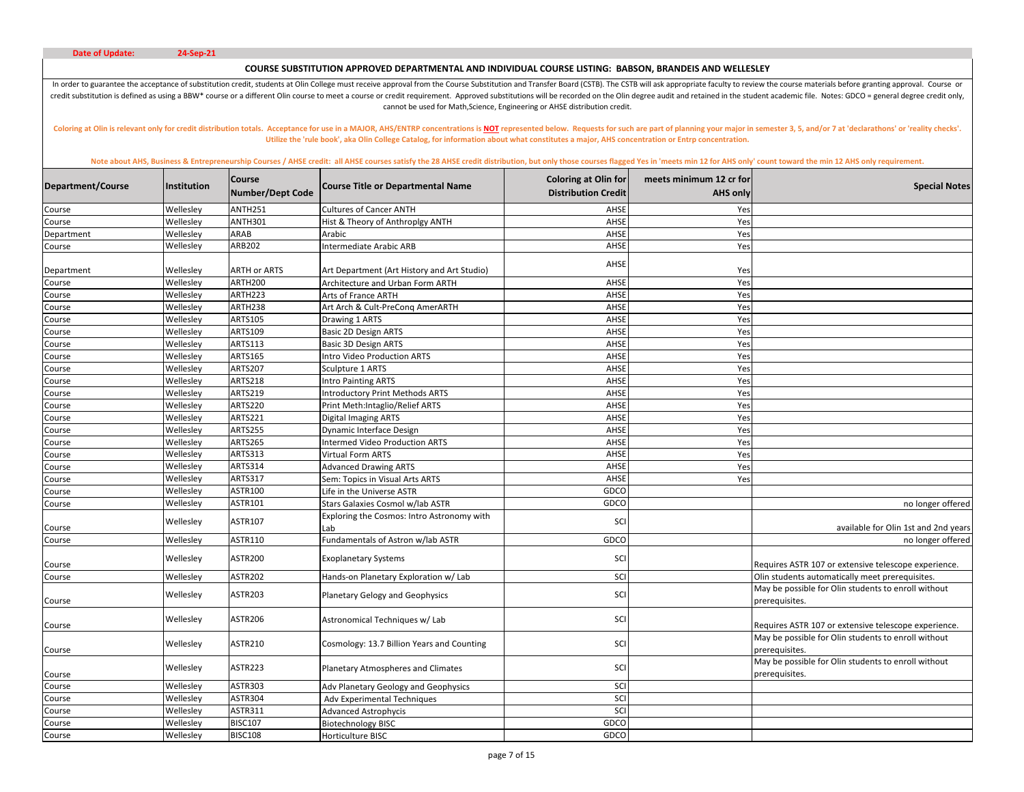# **COURSE SUBSTITUTION APPROVED DEPARTMENTAL AND INDIVIDUAL COURSE LISTING: BABSON, BRANDEIS AND WELLESLEY**

In order to guarantee the acceptance of substitution credit, students at Olin College must receive approval from the Course Substitution and Transfer Board (CSTB). The CSTB will ask appropriate faculty to review the course credit substitution is defined as using a BBW\* course or a different Olin course to meet a course or credit requirement. Approved substitutions will be recorded on the Olin degree audit and retained in the student academic cannot be used for Math,Science, Engineering or AHSE distribution credit.

Coloring at Olin is relevant only for credit distribution totals. Acceptance for use in a MAJOR, AHS/ENTRP concentrations is NOT represented below. Requests for such are part of planning your major in semester 3, 5, and/or **Utilize the 'rule book', aka Olin College Catalog, for information about what constitutes a major, AHS concentration or Entrp concentration.** 

| Department/Course | Institution | <b>Course</b><br><b>Number/Dept Code</b> | <b>Course Title or Departmental Name</b>          | <b>Coloring at Olin for</b><br><b>Distribution Credit</b> | meets minimum 12 cr for<br><b>AHS only</b> | <b>Special Notes</b>                                                  |
|-------------------|-------------|------------------------------------------|---------------------------------------------------|-----------------------------------------------------------|--------------------------------------------|-----------------------------------------------------------------------|
| Course            | Wellesley   | <b>ANTH251</b>                           | <b>Cultures of Cancer ANTH</b>                    | AHSE                                                      | Yes                                        |                                                                       |
| Course            | Wellesley   | <b>ANTH301</b>                           | Hist & Theory of Anthroplgy ANTH                  | AHSE                                                      | Yes                                        |                                                                       |
| Department        | Wellesley   | ARAB                                     | Arabic                                            | AHSE                                                      | Yes                                        |                                                                       |
| Course            | Wellesley   | ARB202                                   | ntermediate Arabic ARB                            | AHSE                                                      | Yes                                        |                                                                       |
|                   |             |                                          |                                                   | AHSE                                                      |                                            |                                                                       |
| Department        | Wellesley   | ARTH or ARTS                             | Art Department (Art History and Art Studio)       |                                                           | Yes                                        |                                                                       |
| Course            | Wellesley   | <b>ARTH200</b>                           | Architecture and Urban Form ARTH                  | AHSE                                                      | Yes                                        |                                                                       |
| Course            | Wellesley   | ARTH223                                  | Arts of France ARTH                               | AHSE                                                      | Yes                                        |                                                                       |
| Course            | Wellesley   | ARTH238                                  | Art Arch & Cult-PreCong AmerARTH                  | AHSE                                                      | Yes                                        |                                                                       |
| Course            | Wellesley   | <b>ARTS105</b>                           | Drawing 1 ARTS                                    | AHSE                                                      | Yes                                        |                                                                       |
| Course            | Wellesley   | ARTS109                                  | Basic 2D Design ARTS                              | AHSE                                                      | Yes                                        |                                                                       |
| Course            | Wellesley   | <b>ARTS113</b>                           | <b>Basic 3D Design ARTS</b>                       | AHSE                                                      | Yes                                        |                                                                       |
| Course            | Wellesley   | ARTS165                                  | Intro Video Production ARTS                       | AHSE                                                      | Yes                                        |                                                                       |
| Course            | Wellesley   | <b>ARTS207</b>                           | Sculpture 1 ARTS                                  | AHSE                                                      | Yes                                        |                                                                       |
| Course            | Wellesley   | <b>ARTS218</b>                           | Intro Painting ARTS                               | AHSE                                                      | Yes                                        |                                                                       |
| Course            | Wellesley   | ARTS219                                  | <b>Introductory Print Methods ARTS</b>            | AHSE                                                      | Yes                                        |                                                                       |
| Course            | Wellesley   | <b>ARTS220</b>                           | Print Meth:Intaglio/Relief ARTS                   | AHSE                                                      | Yes                                        |                                                                       |
| Course            | Wellesley   | <b>ARTS221</b>                           | <b>Digital Imaging ARTS</b>                       | AHSE                                                      | Yes                                        |                                                                       |
| Course            | Wellesley   | <b>ARTS255</b>                           | Dynamic Interface Design                          | AHSE                                                      | Yes                                        |                                                                       |
| Course            | Wellesley   | <b>ARTS265</b>                           | <b>Intermed Video Production ARTS</b>             | AHSE                                                      | Yes                                        |                                                                       |
| Course            | Wellesley   | ARTS313                                  | Virtual Form ARTS                                 | AHSE                                                      | Yes                                        |                                                                       |
| Course            | Wellesley   | ARTS314                                  | <b>Advanced Drawing ARTS</b>                      | AHSE                                                      | Yes                                        |                                                                       |
| Course            | Wellesley   | <b>ARTS317</b>                           | Sem: Topics in Visual Arts ARTS                   | AHSE                                                      | Yes                                        |                                                                       |
| Course            | Wellesley   | ASTR100                                  | Life in the Universe ASTR                         | GDCO                                                      |                                            |                                                                       |
| Course            | Wellesley   | ASTR101                                  | Stars Galaxies Cosmol w/lab ASTR                  | GDCO                                                      |                                            | no longer offered                                                     |
| Course            | Wellesley   | ASTR107                                  | Exploring the Cosmos: Intro Astronomy with<br>Lab | SCI                                                       |                                            | available for Olin 1st and 2nd years                                  |
| Course            | Wellesley   | ASTR110                                  | Fundamentals of Astron w/lab ASTR                 | GDCO                                                      |                                            | no longer offered                                                     |
| Course            | Wellesley   | ASTR200                                  | <b>Exoplanetary Systems</b>                       | SCI                                                       |                                            | Requires ASTR 107 or extensive telescope experience.                  |
| Course            | Wellesley   | <b>ASTR202</b>                           | Hands-on Planetary Exploration w/ Lab             | SCI                                                       |                                            | Olin students automatically meet prerequisites.                       |
| Course            | Wellesley   | ASTR203                                  | Planetary Gelogy and Geophysics                   | SCI                                                       |                                            | May be possible for Olin students to enroll without<br>prerequisites. |
| Course            | Wellesley   | <b>ASTR206</b>                           | Astronomical Techniques w/ Lab                    | SCI                                                       |                                            | Requires ASTR 107 or extensive telescope experience.                  |
| Course            | Wellesley   | ASTR210                                  | Cosmology: 13.7 Billion Years and Counting        | SCI                                                       |                                            | May be possible for Olin students to enroll without<br>prerequisites. |
| Course            | Wellesley   | ASTR223                                  | Planetary Atmospheres and Climates                | SCI                                                       |                                            | May be possible for Olin students to enroll without<br>prerequisites. |
| Course            | Wellesley   | <b>ASTR303</b>                           | Adv Planetary Geology and Geophysics              | SCI                                                       |                                            |                                                                       |
| Course            | Wellesley   | <b>ASTR304</b>                           | Adv Experimental Techniques                       | SCI                                                       |                                            |                                                                       |
| Course            | Wellesley   | ASTR311                                  | <b>Advanced Astrophycis</b>                       | SCI                                                       |                                            |                                                                       |
| Course            | Wellesley   | <b>BISC107</b>                           | <b>Biotechnology BISC</b>                         | GDCO                                                      |                                            |                                                                       |
| Course            | Wellesley   | <b>BISC108</b>                           | Horticulture BISC                                 | GDCO                                                      |                                            |                                                                       |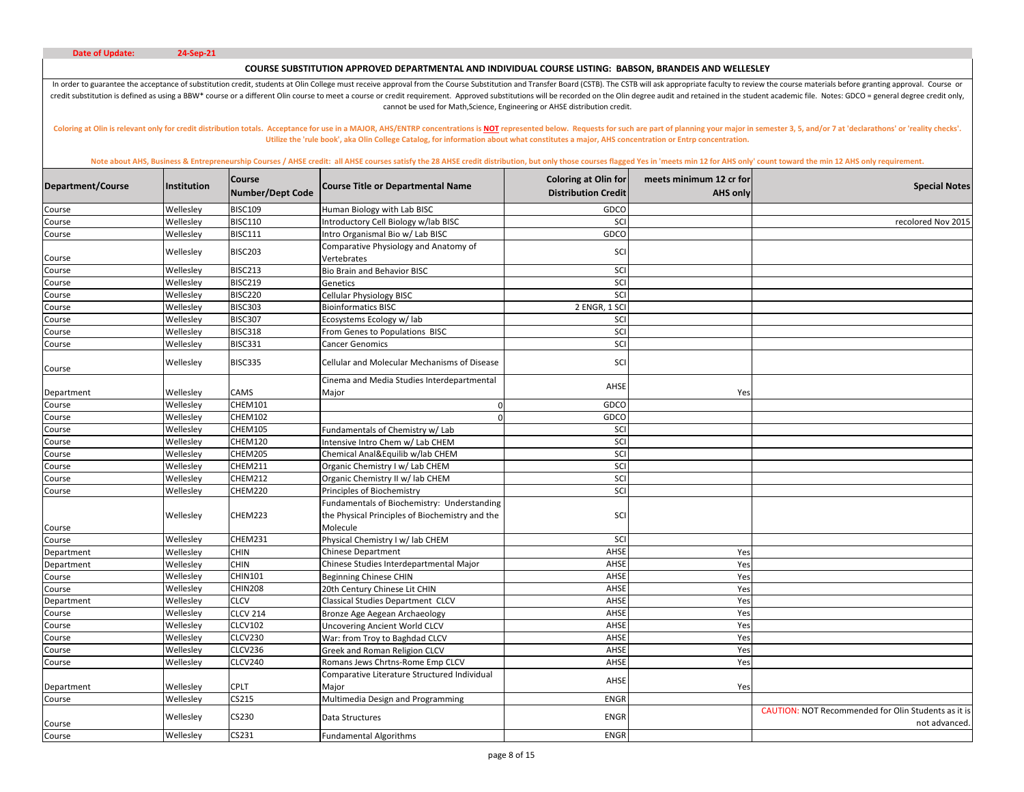# **COURSE SUBSTITUTION APPROVED DEPARTMENTAL AND INDIVIDUAL COURSE LISTING: BABSON, BRANDEIS AND WELLESLEY**

In order to guarantee the acceptance of substitution credit, students at Olin College must receive approval from the Course Substitution and Transfer Board (CSTB). The CSTB will ask appropriate faculty to review the course credit substitution is defined as using a BBW\* course or a different Olin course to meet a course or credit requirement. Approved substitutions will be recorded on the Olin degree audit and retained in the student academic cannot be used for Math,Science, Engineering or AHSE distribution credit.

Coloring at Olin is relevant only for credit distribution totals. Acceptance for use in a MAJOR, AHS/ENTRP concentrations is NOT represented below. Requests for such are part of planning your major in semester 3, 5, and/or **Utilize the 'rule book', aka Olin College Catalog, for information about what constitutes a major, AHS concentration or Entrp concentration.** 

| Department/Course | Institution | <b>Course</b><br><b>Number/Dept Code</b> | <b>Course Title or Departmental Name</b>                                                                   | <b>Coloring at Olin for</b><br><b>Distribution Credit</b> | meets minimum 12 cr for<br><b>AHS only</b> | <b>Special Notes</b>                                                        |
|-------------------|-------------|------------------------------------------|------------------------------------------------------------------------------------------------------------|-----------------------------------------------------------|--------------------------------------------|-----------------------------------------------------------------------------|
| Course            | Wellesley   | <b>BISC109</b>                           | Human Biology with Lab BISC                                                                                | GDCO                                                      |                                            |                                                                             |
| Course            | Wellesley   | <b>BISC110</b>                           | Introductory Cell Biology w/lab BISC                                                                       | SCI                                                       |                                            | recolored Nov 2015                                                          |
| Course            | Wellesley   | <b>BISC111</b>                           | ntro Organismal Bio w/ Lab BISC                                                                            | GDCO                                                      |                                            |                                                                             |
| Course            | Wellesley   | <b>BISC203</b>                           | Comparative Physiology and Anatomy of<br>Vertebrates                                                       | SCI                                                       |                                            |                                                                             |
| Course            | Wellesley   | BISC213                                  | <b>Bio Brain and Behavior BISC</b>                                                                         | SCI                                                       |                                            |                                                                             |
| Course            | Wellesley   | <b>BISC219</b>                           | Genetics                                                                                                   | SCI                                                       |                                            |                                                                             |
| Course            | Wellesley   | <b>BISC220</b>                           | <b>Cellular Physiology BISC</b>                                                                            | SCI                                                       |                                            |                                                                             |
| Course            | Wellesley   | <b>BISC303</b>                           | <b>Bioinformatics BISC</b>                                                                                 | 2 ENGR, 1 SCI                                             |                                            |                                                                             |
| Course            | Wellesley   | <b>BISC307</b>                           | Ecosystems Ecology w/ lab                                                                                  | SCI                                                       |                                            |                                                                             |
| Course            | Wellesley   | <b>BISC318</b>                           | From Genes to Populations BISC                                                                             | SCI                                                       |                                            |                                                                             |
| Course            | Wellesley   | <b>BISC331</b>                           | Cancer Genomics                                                                                            | SCI                                                       |                                            |                                                                             |
| Course            | Wellesley   | BISC335                                  | Cellular and Molecular Mechanisms of Disease                                                               | SCI                                                       |                                            |                                                                             |
| Department        | Wellesley   | CAMS                                     | Cinema and Media Studies Interdepartmental<br>Major                                                        | AHSE                                                      | Yes                                        |                                                                             |
| Course            | Wellesley   | <b>CHEM101</b>                           | $\Omega$                                                                                                   | GDCO                                                      |                                            |                                                                             |
| Course            | Wellesley   | <b>CHEM102</b>                           |                                                                                                            | GDCO                                                      |                                            |                                                                             |
| Course            | Wellesley   | <b>CHEM105</b>                           | Fundamentals of Chemistry w/ Lab                                                                           | SCI                                                       |                                            |                                                                             |
| Course            | Wellesley   | <b>CHEM120</b>                           | Intensive Intro Chem w/ Lab CHEM                                                                           | SCI                                                       |                                            |                                                                             |
| Course            | Wellesley   | CHEM205                                  | Chemical Anal&Equilib w/lab CHEM                                                                           | SCI                                                       |                                            |                                                                             |
| Course            | Wellesley   | <b>CHEM211</b>                           | Organic Chemistry I w/ Lab CHEM                                                                            | SCI                                                       |                                            |                                                                             |
| Course            | Wellesley   | <b>CHEM212</b>                           | Organic Chemistry II w/ lab CHEM                                                                           | SCI                                                       |                                            |                                                                             |
| Course            | Wellesley   | CHEM220                                  | Principles of Biochemistry                                                                                 | SCI                                                       |                                            |                                                                             |
| Course            | Wellesley   | CHEM223                                  | Fundamentals of Biochemistry: Understanding<br>the Physical Principles of Biochemistry and the<br>Molecule | SCI                                                       |                                            |                                                                             |
| Course            | Wellesley   | CHEM231                                  | Physical Chemistry I w/ lab CHEM                                                                           | SCI                                                       |                                            |                                                                             |
| Department        | Wellesley   | CHIN                                     | <b>Chinese Department</b>                                                                                  | AHSE                                                      | Yes                                        |                                                                             |
| Department        | Wellesley   | <b>CHIN</b>                              | Chinese Studies Interdepartmental Major                                                                    | AHSE                                                      | Yes                                        |                                                                             |
| Course            | Wellesley   | CHIN101                                  | <b>Beginning Chinese CHIN</b>                                                                              | AHSE                                                      | Yes                                        |                                                                             |
| Course            | Wellesley   | <b>CHIN208</b>                           | 20th Century Chinese Lit CHIN                                                                              | AHSE                                                      | Yes                                        |                                                                             |
| Department        | Wellesley   | <b>CLCV</b>                              | Classical Studies Department CLCV                                                                          | AHSE                                                      | Yes                                        |                                                                             |
| Course            | Wellesley   | <b>CLCV 214</b>                          | Bronze Age Aegean Archaeology                                                                              | AHSE                                                      | Yes                                        |                                                                             |
| Course            | Wellesley   | <b>CLCV102</b>                           | <b>Uncovering Ancient World CLCV</b>                                                                       | AHSE                                                      | Yes                                        |                                                                             |
| Course            | Wellesley   | CLCV230                                  | War: from Troy to Baghdad CLCV                                                                             | AHSE                                                      | Yes                                        |                                                                             |
| Course            | Wellesley   | CLCV236                                  | Greek and Roman Religion CLCV                                                                              | AHSE                                                      | Yes                                        |                                                                             |
| Course            | Wellesley   | <b>CLCV240</b>                           | Romans Jews Chrtns-Rome Emp CLCV                                                                           | AHSE                                                      | Yes                                        |                                                                             |
| Department        | Wellesley   | <b>CPLT</b>                              | Comparative Literature Structured Individual<br>Major                                                      | AHSE                                                      | Yes                                        |                                                                             |
| Course            | Wellesley   | CS215                                    | Multimedia Design and Programming                                                                          | <b>ENGR</b>                                               |                                            |                                                                             |
| Course            | Wellesley   | CS230                                    | Data Structures                                                                                            | <b>ENGR</b>                                               |                                            | <b>CAUTION: NOT Recommended for Olin Students as it is</b><br>not advanced. |
| Course            | Wellesley   | CS231                                    | <b>Fundamental Algorithms</b>                                                                              | <b>ENGR</b>                                               |                                            |                                                                             |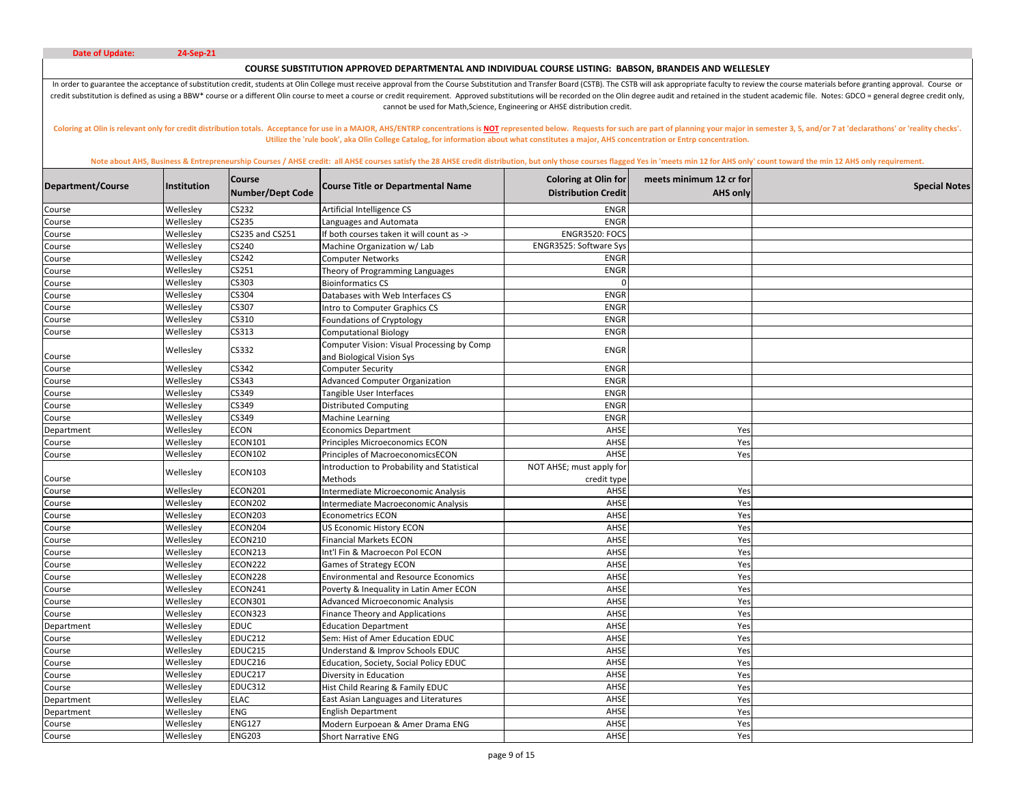# **COURSE SUBSTITUTION APPROVED DEPARTMENTAL AND INDIVIDUAL COURSE LISTING: BABSON, BRANDEIS AND WELLESLEY**

In order to guarantee the acceptance of substitution credit, students at Olin College must receive approval from the Course Substitution and Transfer Board (CSTB). The CSTB will ask appropriate faculty to review the course credit substitution is defined as using a BBW\* course or a different Olin course to meet a course or credit requirement. Approved substitutions will be recorded on the Olin degree audit and retained in the student academic cannot be used for Math,Science, Engineering or AHSE distribution credit.

Coloring at Olin is relevant only for credit distribution totals. Acceptance for use in a MAJOR, AHS/ENTRP concentrations is NOT represented below. Requests for such are part of planning your major in semester 3, 5, and/or **Utilize the 'rule book', aka Olin College Catalog, for information about what constitutes a major, AHS concentration or Entrp concentration.** 

| Department/Course | Institution | Course<br><b>Number/Dept Code</b> | <b>Course Title or Departmental Name</b>                                | <b>Coloring at Olin for</b><br><b>Distribution Credit</b> | meets minimum 12 cr for<br><b>AHS only</b> | <b>Special Notes</b> |
|-------------------|-------------|-----------------------------------|-------------------------------------------------------------------------|-----------------------------------------------------------|--------------------------------------------|----------------------|
| Course            | Wellesley   | CS232                             | Artificial Intelligence CS                                              | <b>ENGR</b>                                               |                                            |                      |
| Course            | Wellesley   | CS235                             | Languages and Automata                                                  | <b>ENGR</b>                                               |                                            |                      |
| Course            | Wellesley   | CS235 and CS251                   | f both courses taken it will count as ->                                | ENGR3520: FOCS                                            |                                            |                      |
| Course            | Wellesley   | CS240                             | Machine Organization w/ Lab                                             | ENGR3525: Software Sys                                    |                                            |                      |
| Course            | Wellesley   | CS242                             | Computer Networks                                                       | <b>ENGR</b>                                               |                                            |                      |
| Course            | Wellesley   | CS251                             | Theory of Programming Languages                                         | <b>ENGR</b>                                               |                                            |                      |
| Course            | Wellesley   | CS303                             | <b>Bioinformatics CS</b>                                                |                                                           |                                            |                      |
| Course            | Wellesley   | CS304                             | Databases with Web Interfaces CS                                        | <b>ENGR</b>                                               |                                            |                      |
| Course            | Wellesley   | CS307                             | ntro to Computer Graphics CS                                            | <b>ENGR</b>                                               |                                            |                      |
| Course            | Wellesley   | CS310                             | Foundations of Cryptology                                               | <b>ENGR</b>                                               |                                            |                      |
| Course            | Wellesley   | CS313                             | <b>Computational Biology</b>                                            | <b>ENGR</b>                                               |                                            |                      |
| Course            | Wellesley   | CS332                             | Computer Vision: Visual Processing by Comp<br>and Biological Vision Sys | <b>ENGR</b>                                               |                                            |                      |
| Course            | Wellesley   | CS342                             | <b>Computer Security</b>                                                | <b>ENGR</b>                                               |                                            |                      |
| Course            | Wellesley   | CS343                             | <b>Advanced Computer Organization</b>                                   | <b>ENGR</b>                                               |                                            |                      |
| Course            | Wellesley   | CS349                             | Tangible User Interfaces                                                | <b>ENGR</b>                                               |                                            |                      |
| Course            | Wellesley   | CS349                             | <b>Distributed Computing</b>                                            | <b>ENGR</b>                                               |                                            |                      |
| Course            | Wellesley   | CS349                             | Machine Learning                                                        | <b>ENGR</b>                                               |                                            |                      |
| Department        | Wellesley   | <b>ECON</b>                       | <b>Economics Department</b>                                             | AHSE                                                      | Yes                                        |                      |
| Course            | Wellesley   | <b>ECON101</b>                    | Principles Microeconomics ECON                                          | AHSE                                                      | Yes                                        |                      |
| Course            | Wellesley   | <b>ECON102</b>                    | Principles of MacroeconomicsECON                                        | AHSE                                                      | Yes                                        |                      |
| Course            | Wellesley   | ECON103                           | ntroduction to Probability and Statistical<br>Methods                   | NOT AHSE; must apply for<br>credit type                   |                                            |                      |
| Course            | Wellesley   | <b>ECON201</b>                    | ntermediate Microeconomic Analysis                                      | AHSE                                                      | Yes                                        |                      |
| Course            | Wellesley   | <b>ECON202</b>                    | Intermediate Macroeconomic Analysis                                     | AHSE                                                      | Yes                                        |                      |
| Course            | Wellesley   | ECON203                           | <b>Econometrics ECON</b>                                                | AHSE                                                      | Yes                                        |                      |
| Course            | Wellesley   | ECON204                           | US Economic History ECON                                                | AHSE                                                      | Yes                                        |                      |
| Course            | Wellesley   | <b>ECON210</b>                    | <b>Financial Markets ECON</b>                                           | AHSE                                                      | Yes                                        |                      |
| Course            | Wellesley   | <b>ECON213</b>                    | nt'l Fin & Macroecon Pol ECON                                           | AHSE                                                      | Yes                                        |                      |
| Course            | Wellesley   | <b>ECON222</b>                    | <b>Games of Strategy ECON</b>                                           | AHSE                                                      | Yes                                        |                      |
| Course            | Wellesley   | ECON228                           | <b>Environmental and Resource Economics</b>                             | AHSE                                                      | Yes                                        |                      |
| Course            | Wellesley   | ECON241                           | Poverty & Inequality in Latin Amer ECON                                 | AHSE                                                      | Yes                                        |                      |
| Course            | Wellesley   | ECON301                           | <b>Advanced Microeconomic Analysis</b>                                  | AHSE                                                      | Yes                                        |                      |
| Course            | Wellesley   | ECON323                           | Finance Theory and Applications                                         | AHSE                                                      | Yes                                        |                      |
| Department        | Wellesley   | <b>EDUC</b>                       | <b>Education Department</b>                                             | AHSE                                                      | Yes                                        |                      |
| Course            | Wellesley   | <b>EDUC212</b>                    | Sem: Hist of Amer Education EDUC                                        | AHSE                                                      | Yes                                        |                      |
| Course            | Wellesley   | <b>EDUC215</b>                    | Understand & Improv Schools EDUC                                        | AHSE                                                      | Yes                                        |                      |
| Course            | Wellesley   | <b>EDUC216</b>                    | Education, Society, Social Policy EDUC                                  | AHSE                                                      | Yes                                        |                      |
| Course            | Wellesley   | <b>EDUC217</b>                    | Diversity in Education                                                  | AHSE                                                      | Yes                                        |                      |
| Course            | Wellesley   | <b>EDUC312</b>                    | Hist Child Rearing & Family EDUC                                        | AHSE                                                      | Yes                                        |                      |
| Department        | Wellesley   | <b>ELAC</b>                       | East Asian Languages and Literatures                                    | AHSE                                                      | Yes                                        |                      |
| Department        | Wellesley   | <b>ENG</b>                        | <b>English Department</b>                                               | AHSE                                                      | Yes                                        |                      |
| Course            | Wellesley   | <b>ENG127</b>                     | Modern Eurpoean & Amer Drama ENG                                        | AHSE                                                      | Yes                                        |                      |
| Course            | Wellesley   | <b>ENG203</b>                     | <b>Short Narrative ENG</b>                                              | AHSE                                                      | Yes                                        |                      |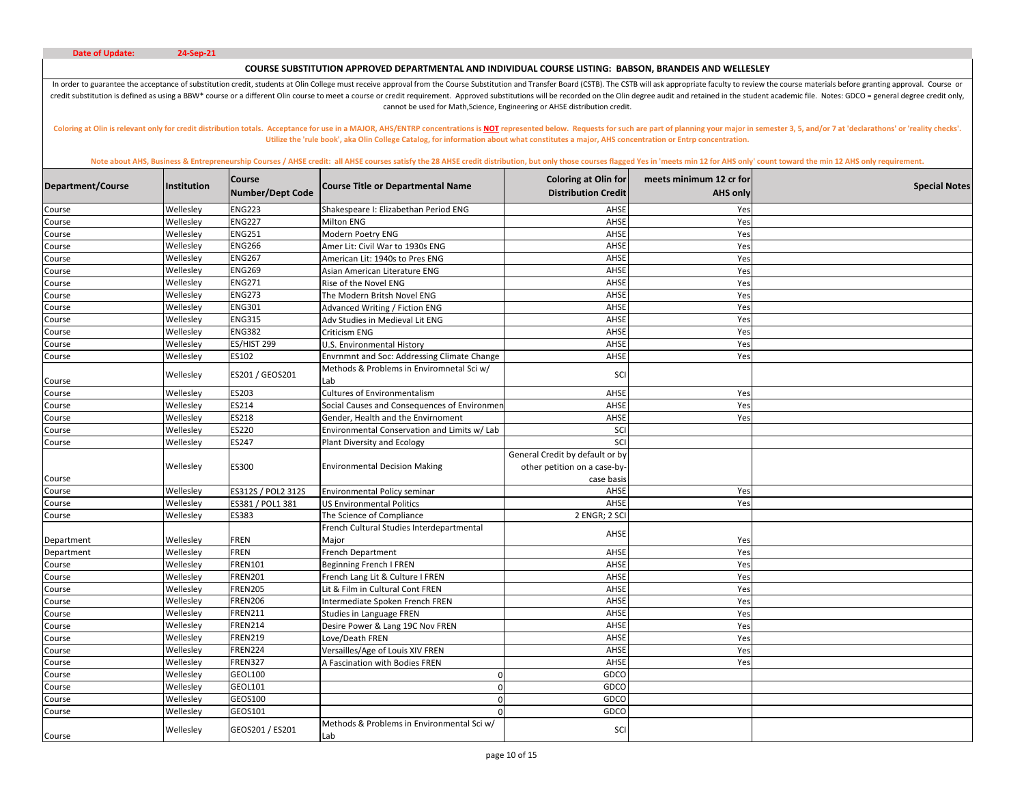# **COURSE SUBSTITUTION APPROVED DEPARTMENTAL AND INDIVIDUAL COURSE LISTING: BABSON, BRANDEIS AND WELLESLEY**

In order to guarantee the acceptance of substitution credit, students at Olin College must receive approval from the Course Substitution and Transfer Board (CSTB). The CSTB will ask appropriate faculty to review the course credit substitution is defined as using a BBW\* course or a different Olin course to meet a course or credit requirement. Approved substitutions will be recorded on the Olin degree audit and retained in the student academic cannot be used for Math,Science, Engineering or AHSE distribution credit.

Coloring at Olin is relevant only for credit distribution totals. Acceptance for use in a MAJOR, AHS/ENTRP concentrations is NOT represented below. Requests for such are part of planning your major in semester 3, 5, and/or **Utilize the 'rule book', aka Olin College Catalog, for information about what constitutes a major, AHS concentration or Entrp concentration.** 

| Department/Course | <b>Institution</b> | <b>Course</b><br><b>Number/Dept Code</b> | <b>Course Title or Departmental Name</b>           | <b>Coloring at Olin for</b><br><b>Distribution Credit</b>                     | meets minimum 12 cr for<br><b>AHS only</b> | <b>Special Notes</b> |
|-------------------|--------------------|------------------------------------------|----------------------------------------------------|-------------------------------------------------------------------------------|--------------------------------------------|----------------------|
| Course            | Wellesley          | <b>ENG223</b>                            | Shakespeare I: Elizabethan Period ENG              | AHSE                                                                          | Yes                                        |                      |
| Course            | Wellesley          | <b>ENG227</b>                            | <b>Milton ENG</b>                                  | AHSE                                                                          | Yes                                        |                      |
| Course            | Wellesley          | <b>ENG251</b>                            | Modern Poetry ENG                                  | AHSE                                                                          | Yes                                        |                      |
| Course            | Wellesley          | <b>ENG266</b>                            | Amer Lit: Civil War to 1930s ENG                   | AHSE                                                                          | Yes                                        |                      |
| Course            | Wellesley          | <b>ENG267</b>                            | American Lit: 1940s to Pres ENG                    | AHSE                                                                          | Yes                                        |                      |
| Course            | Wellesley          | <b>ENG269</b>                            | Asian American Literature ENG                      | AHSE                                                                          | Yes                                        |                      |
| Course            | Wellesley          | <b>ENG271</b>                            | Rise of the Novel ENG                              | AHSE                                                                          | Yes                                        |                      |
| Course            | Wellesley          | <b>ENG273</b>                            | The Modern Britsh Novel ENG                        | AHSE                                                                          | Yes                                        |                      |
| Course            | Wellesley          | <b>ENG301</b>                            | Advanced Writing / Fiction ENG                     | AHSE                                                                          | Yes                                        |                      |
| Course            | Wellesley          | <b>ENG315</b>                            | Adv Studies in Medieval Lit ENG                    | AHSE                                                                          | Yes                                        |                      |
| Course            | Wellesley          | <b>ENG382</b>                            | Criticism ENG                                      | AHSE                                                                          | Yes                                        |                      |
| Course            | Wellesley          | ES/HIST 299                              | U.S. Environmental History                         | AHSE                                                                          | Yes                                        |                      |
| Course            | Wellesley          | ES102                                    | <b>Envrnmnt and Soc: Addressing Climate Change</b> | AHSE                                                                          | Yes                                        |                      |
| Course            | Wellesley          | ES201 / GEOS201                          | Methods & Problems in Enviromnetal Sci w/<br>Lab   | SCI                                                                           |                                            |                      |
| Course            | Wellesley          | ES203                                    | <b>Cultures of Environmentalism</b>                | AHSE                                                                          | Yes                                        |                      |
| Course            | Wellesley          | <b>ES214</b>                             | Social Causes and Consequences of Environmer       | AHSE                                                                          | Yes                                        |                      |
| Course            | Wellesley          | <b>ES218</b>                             | Gender. Health and the Envirnoment                 | AHSE                                                                          | Yes                                        |                      |
| Course            | Wellesley          | <b>ES220</b>                             | Environmental Conservation and Limits w/ Lab       | SCI                                                                           |                                            |                      |
| Course            | Wellesley          | <b>ES247</b>                             | Plant Diversity and Ecology                        | SCI                                                                           |                                            |                      |
| Course            | Wellesley          | ES300                                    | <b>Environmental Decision Making</b>               | General Credit by default or by<br>other petition on a case-by-<br>case basis |                                            |                      |
| Course            | Wellesley          | ES312S / POL2 312S                       | Environmental Policy seminar                       | AHSE                                                                          | Yes                                        |                      |
| Course            | Wellesley          | ES381 / POL1 381                         | <b>US Environmental Politics</b>                   | AHSE                                                                          | Yes                                        |                      |
| Course            | Wellesley          | <b>ES383</b>                             | The Science of Compliance                          | 2 ENGR; 2 SCI                                                                 |                                            |                      |
| Department        | Wellesley          | <b>FREN</b>                              | French Cultural Studies Interdepartmental<br>Major | AHSE                                                                          | Yes                                        |                      |
| Department        | Wellesley          | <b>FREN</b>                              | French Department                                  | AHSE                                                                          | Yes                                        |                      |
| Course            | Wellesley          | <b>FREN101</b>                           | <b>Beginning French I FREN</b>                     | AHSE                                                                          | Yes                                        |                      |
| Course            | Wellesley          | <b>FREN201</b>                           | French Lang Lit & Culture I FREN                   | AHSE                                                                          | Yes                                        |                      |
| Course            | Wellesley          | <b>FREN205</b>                           | Lit & Film in Cultural Cont FREN                   | AHSE                                                                          | Yes                                        |                      |
| Course            | Wellesley          | <b>FREN206</b>                           | Intermediate Spoken French FREN                    | AHSE                                                                          | Yes                                        |                      |
| Course            | Wellesley          | <b>FREN211</b>                           | Studies in Language FREN                           | AHSE                                                                          | Yes                                        |                      |
| Course            | Wellesley          | <b>FREN214</b>                           | Desire Power & Lang 19C Nov FREN                   | AHSE                                                                          | Yes                                        |                      |
| Course            | Wellesley          | <b>FREN219</b>                           | Love/Death FREN                                    | AHSE                                                                          | Yes                                        |                      |
| Course            | Wellesley          | FREN224                                  | Versailles/Age of Louis XIV FREN                   | AHSE                                                                          | Yes                                        |                      |
| Course            | Wellesley          | <b>FREN327</b>                           | A Fascination with Bodies FREN                     | AHSE                                                                          | Yes                                        |                      |
| Course            | Wellesley          | <b>GEOL100</b>                           |                                                    | GDCO                                                                          |                                            |                      |
| Course            | Wellesley          | GEOL101                                  |                                                    | GDCO                                                                          |                                            |                      |
| Course            | Wellesley          | GEOS100                                  | $\Omega$                                           | GDCO                                                                          |                                            |                      |
| Course            | Wellesley          | GEOS101                                  |                                                    | GDCO                                                                          |                                            |                      |
| Course            | Wellesley          | GEOS201 / ES201                          | Methods & Problems in Environmental Sci w/<br>Lab  | SCI                                                                           |                                            |                      |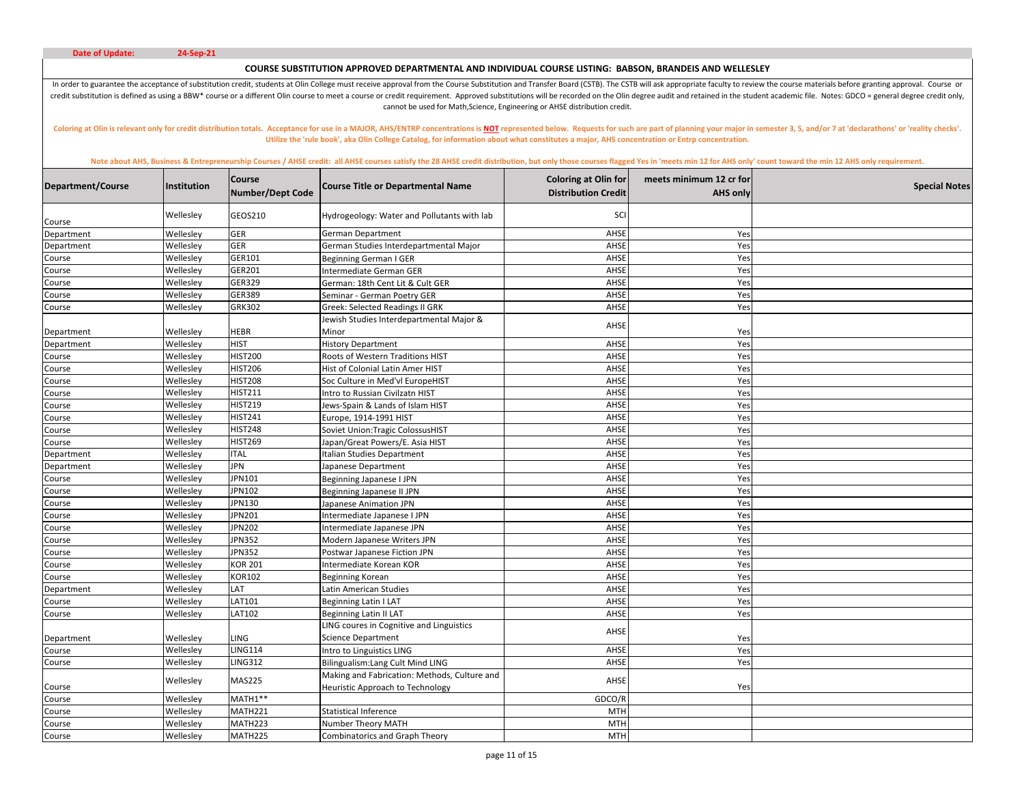# **COURSE SUBSTITUTION APPROVED DEPARTMENTAL AND INDIVIDUAL COURSE LISTING: BABSON, BRANDEIS AND WELLESLEY**

In order to guarantee the acceptance of substitution credit, students at Olin College must receive approval from the Course Substitution and Transfer Board (CSTB). The CSTB will ask appropriate faculty to review the course credit substitution is defined as using a BBW\* course or a different Olin course to meet a course or credit requirement. Approved substitutions will be recorded on the Olin degree audit and retained in the student academic cannot be used for Math,Science, Engineering or AHSE distribution credit.

Coloring at Olin is relevant only for credit distribution totals. Acceptance for use in a MAJOR, AHS/ENTRP concentrations is NOT represented below. Requests for such are part of planning your major in semester 3, 5, and/or **Utilize the 'rule book', aka Olin College Catalog, for information about what constitutes a major, AHS concentration or Entrp concentration.** 

| Department/Course | Institution            | <b>Course</b><br><b>Number/Dept Code</b> | <b>Course Title or Departmental Name</b>                                         | <b>Coloring at Olin for</b><br><b>Distribution Credit</b> | meets minimum 12 cr for<br><b>AHS only</b> | <b>Special Notes</b> |
|-------------------|------------------------|------------------------------------------|----------------------------------------------------------------------------------|-----------------------------------------------------------|--------------------------------------------|----------------------|
| Course            | Wellesley              | GEOS210                                  | Hydrogeology: Water and Pollutants with lab                                      | SCI                                                       |                                            |                      |
| Department        | Wellesley              | GER                                      | German Department                                                                | AHSE                                                      | Yes                                        |                      |
| Department        | Wellesley              | <b>GER</b>                               | German Studies Interdepartmental Major                                           | AHSE                                                      | Yes                                        |                      |
| Course            | Wellesley              | GER101                                   | <b>Beginning German I GER</b>                                                    | AHSE                                                      | Yes                                        |                      |
| Course            | Wellesley              | GER201                                   | Intermediate German GER                                                          | AHSE                                                      | Yes                                        |                      |
| Course            | Wellesley              | GER329                                   | German: 18th Cent Lit & Cult GER                                                 | AHSE                                                      | Yes                                        |                      |
| Course            | Wellesley              | GER389                                   | Seminar - German Poetry GER                                                      | AHSE                                                      | Yes                                        |                      |
| Course            | Wellesley              | GRK302                                   | Greek: Selected Readings II GRK                                                  | AHSE                                                      | Yes                                        |                      |
|                   |                        |                                          | Jewish Studies Interdepartmental Major &                                         | AHSE                                                      |                                            |                      |
| Department        | Wellesley              | <b>HEBR</b>                              | Minor                                                                            |                                                           | Yes                                        |                      |
| Department        | Wellesley              | <b>HIST</b>                              | <b>History Department</b>                                                        | AHSE                                                      | Yes                                        |                      |
| Course            | Wellesley              | <b>HIST200</b>                           | Roots of Western Traditions HIST                                                 | AHSE                                                      | Yes                                        |                      |
| Course            | Wellesley              | <b>HIST206</b>                           | Hist of Colonial Latin Amer HIST                                                 | AHSE                                                      | Yes                                        |                      |
| Course            | Wellesley              | <b>HIST208</b><br><b>HIST211</b>         | Soc Culture in Med'vl EuropeHIST                                                 | AHSE<br>AHSE                                              | Yes<br>Yes                                 |                      |
| Course            | Wellesley<br>Wellesley | <b>HIST219</b>                           | Intro to Russian Civilzatn HIST<br>Jews-Spain & Lands of Islam HIST              | AHSE                                                      | Yes                                        |                      |
| Course            | Wellesley              | <b>HIST241</b>                           | Europe, 1914-1991 HIST                                                           | AHSE                                                      | Yes                                        |                      |
| Course<br>Course  | Wellesley              | <b>HIST248</b>                           | Soviet Union:Tragic ColossusHIST                                                 | AHSE                                                      | Yes                                        |                      |
| Course            | Wellesley              | <b>HIST269</b>                           | Japan/Great Powers/E. Asia HIST                                                  | AHSE                                                      | Yes                                        |                      |
| Department        | Wellesley              | <b>ITAL</b>                              | Italian Studies Department                                                       | AHSE                                                      | Yes                                        |                      |
| Department        | Wellesley              | JPN                                      | Japanese Department                                                              | AHSE                                                      | Yes                                        |                      |
| Course            | Wellesley              | JPN101                                   | Beginning Japanese I JPN                                                         | AHSE                                                      | Yes                                        |                      |
| Course            | Wellesley              | JPN102                                   | Beginning Japanese II JPN                                                        | AHSE                                                      | Yes                                        |                      |
| Course            | Wellesley              | JPN130                                   | Japanese Animation JPN                                                           | AHSE                                                      | Yes                                        |                      |
| Course            | Wellesley              | JPN201                                   | Intermediate Japanese I JPN                                                      | AHSE                                                      | Yes                                        |                      |
| Course            | Wellesley              | <b>JPN202</b>                            | Intermediate Japanese JPN                                                        | AHSE                                                      | Yes                                        |                      |
| Course            | Wellesley              | <b>JPN352</b>                            | Modern Japanese Writers JPN                                                      | AHSE                                                      | Yes                                        |                      |
| Course            | Wellesley              | <b>JPN352</b>                            | Postwar Japanese Fiction JPN                                                     | AHSE                                                      | Yes                                        |                      |
| Course            | Wellesley              | <b>KOR 201</b>                           | Intermediate Korean KOR                                                          | AHSE                                                      | Yes                                        |                      |
| Course            | Wellesley              | KOR102                                   | Beginning Korean                                                                 | AHSE                                                      | Yes                                        |                      |
| Department        | Wellesley              | LAT                                      | Latin American Studies                                                           | AHSE                                                      | Yes                                        |                      |
| Course            | Wellesley              | LAT101                                   | <b>Beginning Latin I LAT</b>                                                     | AHSE                                                      | Yes                                        |                      |
| Course            | Wellesley              | <b>LAT102</b>                            | Beginning Latin II LAT                                                           | AHSE                                                      | Yes                                        |                      |
|                   |                        |                                          | LING coures in Cognitive and Linguistics                                         | AHSE                                                      |                                            |                      |
| Department        | Wellesley              | LING                                     | <b>Science Department</b>                                                        |                                                           | Yes                                        |                      |
| Course            | Wellesley              | <b>LING114</b>                           | Intro to Linguistics LING                                                        | AHSE                                                      | Yes                                        |                      |
| Course            | Wellesley              | <b>LING312</b>                           | Bilingualism: Lang Cult Mind LING                                                | AHSE                                                      | Yes                                        |                      |
| Course            | Wellesley              | <b>MAS225</b>                            | Making and Fabrication: Methods, Culture and<br>Heuristic Approach to Technology | AHSE                                                      | Yes                                        |                      |
| Course            | Wellesley              | MATH1**                                  |                                                                                  | GDCO/R                                                    |                                            |                      |
| Course            | Wellesley              | MATH221                                  | <b>Statistical Inference</b>                                                     | <b>MTH</b>                                                |                                            |                      |
| Course            | Wellesley              | MATH223                                  | Number Theory MATH                                                               | <b>MTH</b>                                                |                                            |                      |
| Course            | Wellesley              | MATH225                                  | Combinatorics and Graph Theory                                                   | <b>MTH</b>                                                |                                            |                      |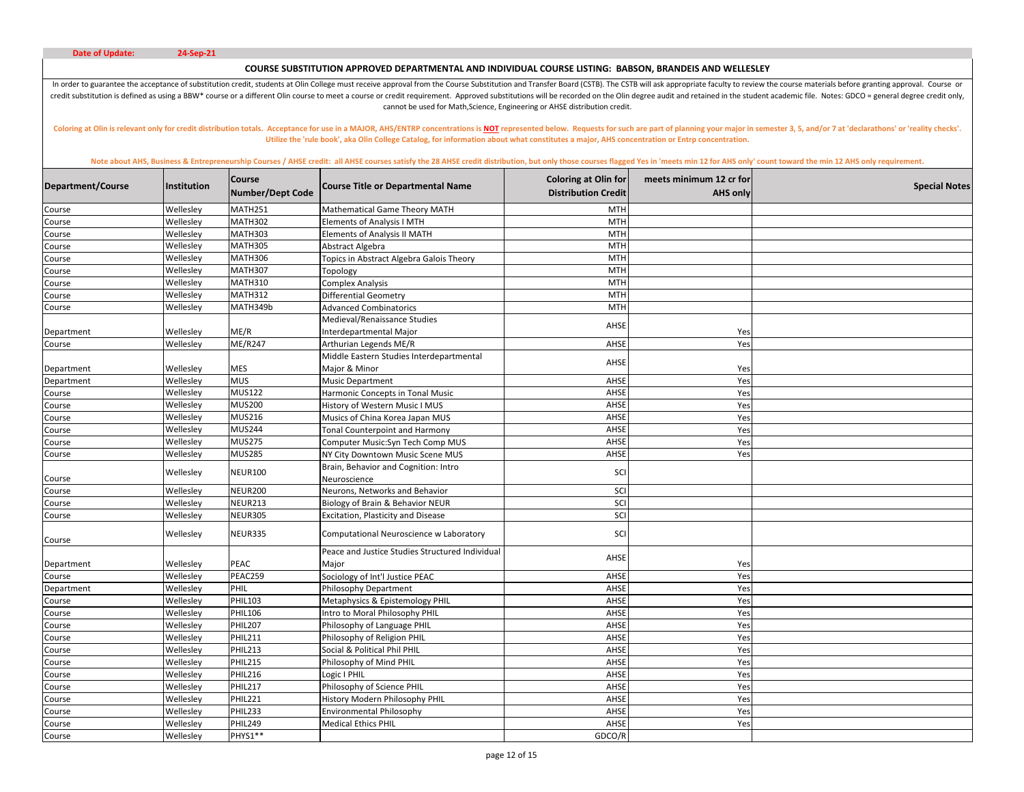# **COURSE SUBSTITUTION APPROVED DEPARTMENTAL AND INDIVIDUAL COURSE LISTING: BABSON, BRANDEIS AND WELLESLEY**

In order to guarantee the acceptance of substitution credit, students at Olin College must receive approval from the Course Substitution and Transfer Board (CSTB). The CSTB will ask appropriate faculty to review the course credit substitution is defined as using a BBW\* course or a different Olin course to meet a course or credit requirement. Approved substitutions will be recorded on the Olin degree audit and retained in the student academic cannot be used for Math,Science, Engineering or AHSE distribution credit.

Coloring at Olin is relevant only for credit distribution totals. Acceptance for use in a MAJOR, AHS/ENTRP concentrations is NOT represented below. Requests for such are part of planning your major in semester 3, 5, and/or **Utilize the 'rule book', aka Olin College Catalog, for information about what constitutes a major, AHS concentration or Entrp concentration.** 

| Department/Course | Institution | <b>Course</b><br><b>Number/Dept Code</b> | <b>Course Title or Departmental Name</b>                 | <b>Coloring at Olin for</b><br><b>Distribution Credit</b> | meets minimum 12 cr for<br><b>AHS only</b> | <b>Special Notes</b> |
|-------------------|-------------|------------------------------------------|----------------------------------------------------------|-----------------------------------------------------------|--------------------------------------------|----------------------|
| Course            | Wellesley   | <b>MATH251</b>                           | Mathematical Game Theory MATH                            | <b>MTH</b>                                                |                                            |                      |
| Course            | Wellesley   | <b>MATH302</b>                           | Elements of Analysis I MTH                               | <b>MTH</b>                                                |                                            |                      |
| Course            | Wellesley   | <b>MATH303</b>                           | <b>Elements of Analysis II MATH</b>                      | <b>MTH</b>                                                |                                            |                      |
| Course            | Wellesley   | <b>MATH305</b>                           | Abstract Algebra                                         | <b>MTH</b>                                                |                                            |                      |
| Course            | Wellesley   | <b>MATH306</b>                           | Topics in Abstract Algebra Galois Theory                 | <b>MTH</b>                                                |                                            |                      |
| Course            | Wellesley   | <b>MATH307</b>                           | Topology                                                 | <b>MTH</b>                                                |                                            |                      |
| Course            | Wellesley   | <b>MATH310</b>                           | Complex Analysis                                         | <b>MTH</b>                                                |                                            |                      |
| Course            | Wellesley   | <b>MATH312</b>                           | Differential Geometry                                    | <b>MTH</b>                                                |                                            |                      |
| Course            | Wellesley   | MATH349b                                 | <b>Advanced Combinatorics</b>                            | <b>MTH</b>                                                |                                            |                      |
|                   |             |                                          | Medieval/Renaissance Studies                             | AHSE                                                      |                                            |                      |
| Department        | Wellesley   | ME/R                                     | Interdepartmental Major                                  |                                                           | Yes                                        |                      |
| Course            | Wellesley   | ME/R247                                  | Arthurian Legends ME/R                                   | AHSE                                                      | Yes                                        |                      |
|                   |             |                                          | Middle Eastern Studies Interdepartmental                 | AHSE                                                      |                                            |                      |
| Department        | Wellesley   | MES                                      | Major & Minor                                            |                                                           | Yes                                        |                      |
| Department        | Wellesley   | <b>MUS</b>                               | <b>Music Department</b>                                  | AHSE                                                      | Yes                                        |                      |
| Course            | Wellesley   | <b>MUS122</b>                            | Harmonic Concepts in Tonal Music                         | AHSE                                                      | Yes                                        |                      |
| Course            | Wellesley   | <b>MUS200</b>                            | History of Western Music I MUS                           | AHSE                                                      | Yes                                        |                      |
| Course            | Wellesley   | <b>MUS216</b>                            | Musics of China Korea Japan MUS                          | AHSE                                                      | Yes                                        |                      |
| Course            | Wellesley   | <b>MUS244</b>                            | <b>Tonal Counterpoint and Harmony</b>                    | AHSE                                                      | Yes                                        |                      |
| Course            | Wellesley   | <b>MUS275</b>                            | Computer Music:Syn Tech Comp MUS                         | AHSE                                                      | Yes                                        |                      |
| Course            | Wellesley   | <b>MUS285</b>                            | NY City Downtown Music Scene MUS                         | AHSE                                                      | Yes                                        |                      |
| Course            | Wellesley   | <b>NEUR100</b>                           | Brain, Behavior and Cognition: Intro<br>Neuroscience     | SCI                                                       |                                            |                      |
| Course            | Wellesley   | <b>NEUR200</b>                           | Neurons, Networks and Behavior                           | SCI                                                       |                                            |                      |
| Course            | Wellesley   | <b>NEUR213</b>                           | Biology of Brain & Behavior NEUR                         | SCI                                                       |                                            |                      |
| Course            | Wellesley   | <b>NEUR305</b>                           | Excitation, Plasticity and Disease                       | SCI                                                       |                                            |                      |
| Course            | Wellesley   | NEUR335                                  | Computational Neuroscience w Laboratory                  | SCI                                                       |                                            |                      |
| Department        | Wellesley   | PEAC                                     | Peace and Justice Studies Structured Individual<br>Major | AHSE                                                      | Yes                                        |                      |
| Course            | Wellesley   | PEAC259                                  | Sociology of Int'l Justice PEAC                          | AHSE                                                      | Yes                                        |                      |
| Department        | Wellesley   | PHIL                                     | Philosophy Department                                    | AHSE                                                      | Yes                                        |                      |
| Course            | Wellesley   | <b>PHIL103</b>                           | Metaphysics & Epistemology PHIL                          | AHSE                                                      | Yes                                        |                      |
| Course            | Wellesley   | <b>PHIL106</b>                           | Intro to Moral Philosophy PHIL                           | AHSE                                                      | Yes                                        |                      |
| Course            | Wellesley   | <b>PHIL207</b>                           | Philosophy of Language PHIL                              | AHSE                                                      | Yes                                        |                      |
| Course            | Wellesley   | <b>PHIL211</b>                           | Philosophy of Religion PHIL                              | AHSE                                                      | Yes                                        |                      |
| Course            | Wellesley   | <b>PHIL213</b>                           | Social & Political Phil PHIL                             | AHSE                                                      | Yes                                        |                      |
| Course            | Wellesley   | <b>PHIL215</b>                           | Philosophy of Mind PHIL                                  | AHSE                                                      | Yes                                        |                      |
| Course            | Wellesley   | PHIL216                                  | ogic I PHIL                                              | AHSE                                                      | Yes                                        |                      |
| Course            | Wellesley   | <b>PHIL217</b>                           | Philosophy of Science PHIL                               | AHSE                                                      | Yes                                        |                      |
| Course            | Wellesley   | <b>PHIL221</b>                           | History Modern Philosophy PHIL                           | AHSE                                                      | Yes                                        |                      |
| Course            | Wellesley   | PHIL233                                  | <b>Environmental Philosophy</b>                          | AHSE                                                      | Yes                                        |                      |
| Course            | Wellesley   | PHIL249                                  | <b>Medical Ethics PHIL</b>                               | AHSE                                                      | Yes                                        |                      |
| Course            | Wellesley   | PHYS1**                                  |                                                          | GDCO/R                                                    |                                            |                      |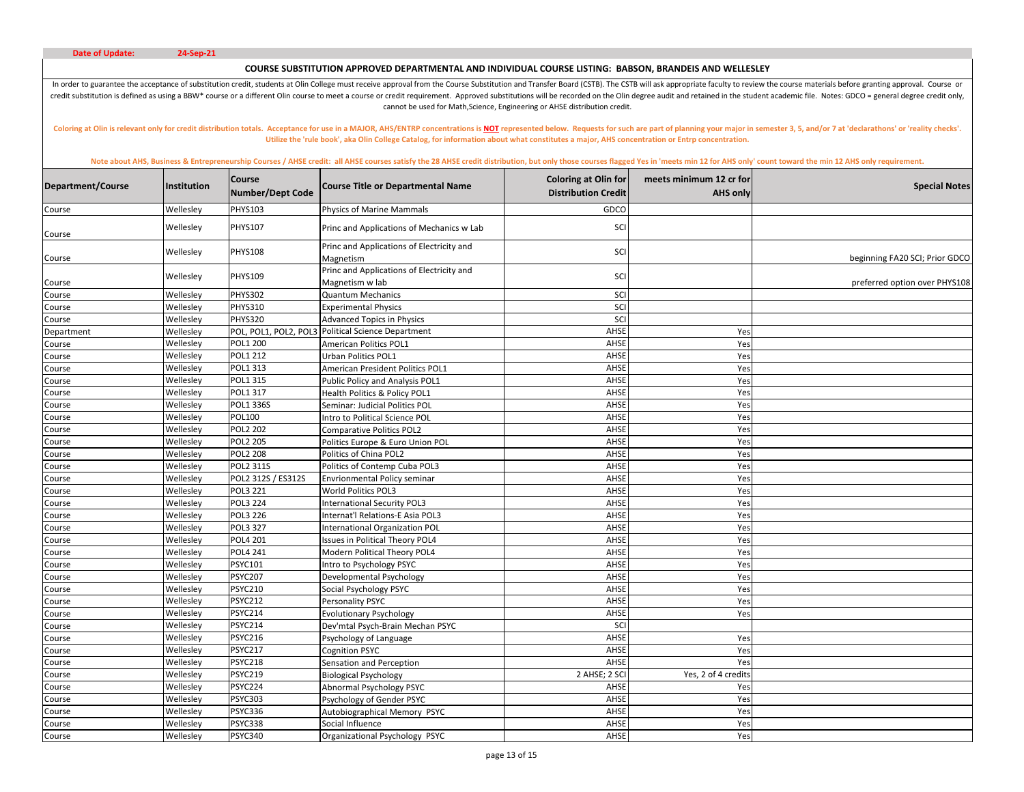# **COURSE SUBSTITUTION APPROVED DEPARTMENTAL AND INDIVIDUAL COURSE LISTING: BABSON, BRANDEIS AND WELLESLEY**

In order to guarantee the acceptance of substitution credit, students at Olin College must receive approval from the Course Substitution and Transfer Board (CSTB). The CSTB will ask appropriate faculty to review the course credit substitution is defined as using a BBW\* course or a different Olin course to meet a course or credit requirement. Approved substitutions will be recorded on the Olin degree audit and retained in the student academic cannot be used for Math,Science, Engineering or AHSE distribution credit.

Coloring at Olin is relevant only for credit distribution totals. Acceptance for use in a MAJOR, AHS/ENTRP concentrations is NOT represented below. Requests for such are part of planning your major in semester 3, 5, and/or **Utilize the 'rule book', aka Olin College Catalog, for information about what constitutes a major, AHS concentration or Entrp concentration.** 

| <b>PHYS103</b><br>Wellesley<br>GDCO<br><b>Physics of Marine Mammals</b><br>Course<br><b>PHYS107</b><br>Wellesley<br>SCI<br>Princ and Applications of Mechanics w Lab<br>Course<br>Princ and Applications of Electricity and<br><b>PHYS108</b><br>Wellesley<br>SCI<br>beginning FA20 SCI; Prior GDCO<br>Magnetism<br>Course<br>Princ and Applications of Electricity and<br>Wellesley<br><b>PHYS109</b><br>SCI<br>Magnetism w lab<br>preferred option over PHYS108<br>Course<br>Wellesley<br><b>PHYS302</b><br>SCI<br><b>Quantum Mechanics</b><br>Course<br>SCI<br><b>PHYS310</b><br>Wellesley<br><b>Experimental Physics</b><br>Course<br><b>PHYS320</b><br>SCI<br>Wellesley<br>Course<br><b>Advanced Topics in Physics</b><br>AHSE<br>POL, POL1, POL2, POL3<br><b>Political Science Department</b><br>Wellesley<br>Yes<br>Department<br>Wellesley<br><b>POL1 200</b><br>American Politics POL1<br>AHSE<br>Course<br>Yes<br>Wellesley<br>POL1 212<br>AHSE<br>Yes<br>Course<br><b>Urban Politics POL1</b><br>POL1 313<br>AHSE<br>Wellesley<br>Yes<br>American President Politics POL1<br>Course<br>POL1 315<br>Wellesley<br>Public Policy and Analysis POL1<br>AHSE<br>Course<br>Yes<br>POL1 317<br>AHSE<br>Wellesley<br>Health Politics & Policy POL1<br>Yes<br>Course<br>POL1 336S<br>AHSE<br>Wellesley<br>Yes<br>Course<br>Seminar: Judicial Politics POL<br><b>POL100</b><br>AHSE<br>Wellesley<br>Intro to Political Science POL<br>Yes<br>Course<br><b>POL2 202</b><br>AHSE<br>Yes<br>Wellesley<br>Comparative Politics POL2<br>Course<br><b>POL2 205</b><br>Wellesley<br>AHSE<br>Course<br>Politics Europe & Euro Union POL<br>Yes<br>AHSE<br><b>POL2 208</b><br>Politics of China POL2<br>Wellesley<br>Yes<br>Course<br><b>POL2 311S</b><br>Wellesley<br>Politics of Contemp Cuba POL3<br>AHSE<br>Yes<br>Course<br>Wellesley<br>POL2 312S / ES312S<br><b>Envrionmental Policy seminar</b><br>AHSE<br>Yes<br>Course<br>AHSE<br>Yes<br>Wellesley<br>POL3 221<br>World Politics POL3<br>Course<br><b>POL3 224</b><br>Wellesley<br>AHSE<br>International Security POL3<br>Course<br>Yes<br>POL3 226<br>Internat'l Relations-E Asia POL3<br>AHSE<br>Yes<br>Wellesley<br>Course<br>POL3 327<br>Wellesley<br>AHSE<br>Yes<br>International Organization POL<br>Course<br>POL4 201<br>AHSE<br>Wellesley<br><b>Issues in Political Theory POL4</b><br>Yes<br>Course<br>Yes<br>Wellesley<br><b>POL4 241</b><br>Modern Political Theory POL4<br>AHSE<br>Course<br><b>PSYC101</b><br>Wellesley<br>AHSE<br>Course<br>Intro to Psychology PSYC<br>Yes<br><b>PSYC207</b><br>AHSE<br>Wellesley<br>Developmental Psychology<br>Yes<br>Course<br>PSYC210<br>Wellesley<br>AHSE<br>Yes<br>Social Psychology PSYC<br>Course<br><b>PSYC212</b><br>AHSE<br>Wellesley<br>Personality PSYC<br>Yes<br>Course<br>Wellesley<br>PSYC214<br>AHSE<br>Yes<br><b>Evolutionary Psychology</b><br>Course<br><b>PSYC214</b><br>SCI<br>Wellesley<br>Dev'mtal Psych-Brain Mechan PSYC<br>Course<br>AHSE<br><b>PSYC216</b><br>Wellesley<br>Psychology of Language<br>Yes<br>Course<br><b>PSYC217</b><br>Wellesley<br>AHSE<br>Cognition PSYC<br>Yes<br>Course<br><b>PSYC218</b><br>AHSE<br>Wellesley<br>Yes<br>Sensation and Perception<br>Course<br>2 AHSE; 2 SCI<br>Wellesley<br><b>PSYC219</b><br><b>Biological Psychology</b><br>Yes, 2 of 4 credits<br>Course<br>PSYC224<br>Wellesley<br>Abnormal Psychology PSYC<br>AHSE<br>Course<br>Yes<br><b>PSYC303</b><br>AHSE<br>Wellesley<br>Psychology of Gender PSYC<br>Yes<br>Course<br>PSYC336<br>AHSE<br>Wellesley<br>Autobiographical Memory PSYC<br>Yes<br>Course<br>PSYC338<br>Social Influence<br>AHSE<br>Yes<br>Wellesley<br>Course<br>AHSE<br>Wellesley<br><b>PSYC340</b><br>Yes<br>Course<br>Organizational Psychology PSYC | Department/Course | <b>Institution</b> | <b>Course</b><br><b>Number/Dept Code</b> | <b>Course Title or Departmental Name</b> | <b>Coloring at Olin for</b><br><b>Distribution Credit</b> | meets minimum 12 cr for<br><b>AHS only</b> | <b>Special Notes</b> |
|---------------------------------------------------------------------------------------------------------------------------------------------------------------------------------------------------------------------------------------------------------------------------------------------------------------------------------------------------------------------------------------------------------------------------------------------------------------------------------------------------------------------------------------------------------------------------------------------------------------------------------------------------------------------------------------------------------------------------------------------------------------------------------------------------------------------------------------------------------------------------------------------------------------------------------------------------------------------------------------------------------------------------------------------------------------------------------------------------------------------------------------------------------------------------------------------------------------------------------------------------------------------------------------------------------------------------------------------------------------------------------------------------------------------------------------------------------------------------------------------------------------------------------------------------------------------------------------------------------------------------------------------------------------------------------------------------------------------------------------------------------------------------------------------------------------------------------------------------------------------------------------------------------------------------------------------------------------------------------------------------------------------------------------------------------------------------------------------------------------------------------------------------------------------------------------------------------------------------------------------------------------------------------------------------------------------------------------------------------------------------------------------------------------------------------------------------------------------------------------------------------------------------------------------------------------------------------------------------------------------------------------------------------------------------------------------------------------------------------------------------------------------------------------------------------------------------------------------------------------------------------------------------------------------------------------------------------------------------------------------------------------------------------------------------------------------------------------------------------------------------------------------------------------------------------------------------------------------------------------------------------------------------------------------------------------------------------------------------------------------------------------------------------------------------------------------------------------------------------------------------------------------------------------------------------------------------------------------------------------------------------------------------------------------------------------------------------------------------------------------------|-------------------|--------------------|------------------------------------------|------------------------------------------|-----------------------------------------------------------|--------------------------------------------|----------------------|
|                                                                                                                                                                                                                                                                                                                                                                                                                                                                                                                                                                                                                                                                                                                                                                                                                                                                                                                                                                                                                                                                                                                                                                                                                                                                                                                                                                                                                                                                                                                                                                                                                                                                                                                                                                                                                                                                                                                                                                                                                                                                                                                                                                                                                                                                                                                                                                                                                                                                                                                                                                                                                                                                                                                                                                                                                                                                                                                                                                                                                                                                                                                                                                                                                                                                                                                                                                                                                                                                                                                                                                                                                                                                                                                                                   |                   |                    |                                          |                                          |                                                           |                                            |                      |
|                                                                                                                                                                                                                                                                                                                                                                                                                                                                                                                                                                                                                                                                                                                                                                                                                                                                                                                                                                                                                                                                                                                                                                                                                                                                                                                                                                                                                                                                                                                                                                                                                                                                                                                                                                                                                                                                                                                                                                                                                                                                                                                                                                                                                                                                                                                                                                                                                                                                                                                                                                                                                                                                                                                                                                                                                                                                                                                                                                                                                                                                                                                                                                                                                                                                                                                                                                                                                                                                                                                                                                                                                                                                                                                                                   |                   |                    |                                          |                                          |                                                           |                                            |                      |
|                                                                                                                                                                                                                                                                                                                                                                                                                                                                                                                                                                                                                                                                                                                                                                                                                                                                                                                                                                                                                                                                                                                                                                                                                                                                                                                                                                                                                                                                                                                                                                                                                                                                                                                                                                                                                                                                                                                                                                                                                                                                                                                                                                                                                                                                                                                                                                                                                                                                                                                                                                                                                                                                                                                                                                                                                                                                                                                                                                                                                                                                                                                                                                                                                                                                                                                                                                                                                                                                                                                                                                                                                                                                                                                                                   |                   |                    |                                          |                                          |                                                           |                                            |                      |
|                                                                                                                                                                                                                                                                                                                                                                                                                                                                                                                                                                                                                                                                                                                                                                                                                                                                                                                                                                                                                                                                                                                                                                                                                                                                                                                                                                                                                                                                                                                                                                                                                                                                                                                                                                                                                                                                                                                                                                                                                                                                                                                                                                                                                                                                                                                                                                                                                                                                                                                                                                                                                                                                                                                                                                                                                                                                                                                                                                                                                                                                                                                                                                                                                                                                                                                                                                                                                                                                                                                                                                                                                                                                                                                                                   |                   |                    |                                          |                                          |                                                           |                                            |                      |
|                                                                                                                                                                                                                                                                                                                                                                                                                                                                                                                                                                                                                                                                                                                                                                                                                                                                                                                                                                                                                                                                                                                                                                                                                                                                                                                                                                                                                                                                                                                                                                                                                                                                                                                                                                                                                                                                                                                                                                                                                                                                                                                                                                                                                                                                                                                                                                                                                                                                                                                                                                                                                                                                                                                                                                                                                                                                                                                                                                                                                                                                                                                                                                                                                                                                                                                                                                                                                                                                                                                                                                                                                                                                                                                                                   |                   |                    |                                          |                                          |                                                           |                                            |                      |
|                                                                                                                                                                                                                                                                                                                                                                                                                                                                                                                                                                                                                                                                                                                                                                                                                                                                                                                                                                                                                                                                                                                                                                                                                                                                                                                                                                                                                                                                                                                                                                                                                                                                                                                                                                                                                                                                                                                                                                                                                                                                                                                                                                                                                                                                                                                                                                                                                                                                                                                                                                                                                                                                                                                                                                                                                                                                                                                                                                                                                                                                                                                                                                                                                                                                                                                                                                                                                                                                                                                                                                                                                                                                                                                                                   |                   |                    |                                          |                                          |                                                           |                                            |                      |
|                                                                                                                                                                                                                                                                                                                                                                                                                                                                                                                                                                                                                                                                                                                                                                                                                                                                                                                                                                                                                                                                                                                                                                                                                                                                                                                                                                                                                                                                                                                                                                                                                                                                                                                                                                                                                                                                                                                                                                                                                                                                                                                                                                                                                                                                                                                                                                                                                                                                                                                                                                                                                                                                                                                                                                                                                                                                                                                                                                                                                                                                                                                                                                                                                                                                                                                                                                                                                                                                                                                                                                                                                                                                                                                                                   |                   |                    |                                          |                                          |                                                           |                                            |                      |
|                                                                                                                                                                                                                                                                                                                                                                                                                                                                                                                                                                                                                                                                                                                                                                                                                                                                                                                                                                                                                                                                                                                                                                                                                                                                                                                                                                                                                                                                                                                                                                                                                                                                                                                                                                                                                                                                                                                                                                                                                                                                                                                                                                                                                                                                                                                                                                                                                                                                                                                                                                                                                                                                                                                                                                                                                                                                                                                                                                                                                                                                                                                                                                                                                                                                                                                                                                                                                                                                                                                                                                                                                                                                                                                                                   |                   |                    |                                          |                                          |                                                           |                                            |                      |
|                                                                                                                                                                                                                                                                                                                                                                                                                                                                                                                                                                                                                                                                                                                                                                                                                                                                                                                                                                                                                                                                                                                                                                                                                                                                                                                                                                                                                                                                                                                                                                                                                                                                                                                                                                                                                                                                                                                                                                                                                                                                                                                                                                                                                                                                                                                                                                                                                                                                                                                                                                                                                                                                                                                                                                                                                                                                                                                                                                                                                                                                                                                                                                                                                                                                                                                                                                                                                                                                                                                                                                                                                                                                                                                                                   |                   |                    |                                          |                                          |                                                           |                                            |                      |
|                                                                                                                                                                                                                                                                                                                                                                                                                                                                                                                                                                                                                                                                                                                                                                                                                                                                                                                                                                                                                                                                                                                                                                                                                                                                                                                                                                                                                                                                                                                                                                                                                                                                                                                                                                                                                                                                                                                                                                                                                                                                                                                                                                                                                                                                                                                                                                                                                                                                                                                                                                                                                                                                                                                                                                                                                                                                                                                                                                                                                                                                                                                                                                                                                                                                                                                                                                                                                                                                                                                                                                                                                                                                                                                                                   |                   |                    |                                          |                                          |                                                           |                                            |                      |
|                                                                                                                                                                                                                                                                                                                                                                                                                                                                                                                                                                                                                                                                                                                                                                                                                                                                                                                                                                                                                                                                                                                                                                                                                                                                                                                                                                                                                                                                                                                                                                                                                                                                                                                                                                                                                                                                                                                                                                                                                                                                                                                                                                                                                                                                                                                                                                                                                                                                                                                                                                                                                                                                                                                                                                                                                                                                                                                                                                                                                                                                                                                                                                                                                                                                                                                                                                                                                                                                                                                                                                                                                                                                                                                                                   |                   |                    |                                          |                                          |                                                           |                                            |                      |
|                                                                                                                                                                                                                                                                                                                                                                                                                                                                                                                                                                                                                                                                                                                                                                                                                                                                                                                                                                                                                                                                                                                                                                                                                                                                                                                                                                                                                                                                                                                                                                                                                                                                                                                                                                                                                                                                                                                                                                                                                                                                                                                                                                                                                                                                                                                                                                                                                                                                                                                                                                                                                                                                                                                                                                                                                                                                                                                                                                                                                                                                                                                                                                                                                                                                                                                                                                                                                                                                                                                                                                                                                                                                                                                                                   |                   |                    |                                          |                                          |                                                           |                                            |                      |
|                                                                                                                                                                                                                                                                                                                                                                                                                                                                                                                                                                                                                                                                                                                                                                                                                                                                                                                                                                                                                                                                                                                                                                                                                                                                                                                                                                                                                                                                                                                                                                                                                                                                                                                                                                                                                                                                                                                                                                                                                                                                                                                                                                                                                                                                                                                                                                                                                                                                                                                                                                                                                                                                                                                                                                                                                                                                                                                                                                                                                                                                                                                                                                                                                                                                                                                                                                                                                                                                                                                                                                                                                                                                                                                                                   |                   |                    |                                          |                                          |                                                           |                                            |                      |
|                                                                                                                                                                                                                                                                                                                                                                                                                                                                                                                                                                                                                                                                                                                                                                                                                                                                                                                                                                                                                                                                                                                                                                                                                                                                                                                                                                                                                                                                                                                                                                                                                                                                                                                                                                                                                                                                                                                                                                                                                                                                                                                                                                                                                                                                                                                                                                                                                                                                                                                                                                                                                                                                                                                                                                                                                                                                                                                                                                                                                                                                                                                                                                                                                                                                                                                                                                                                                                                                                                                                                                                                                                                                                                                                                   |                   |                    |                                          |                                          |                                                           |                                            |                      |
|                                                                                                                                                                                                                                                                                                                                                                                                                                                                                                                                                                                                                                                                                                                                                                                                                                                                                                                                                                                                                                                                                                                                                                                                                                                                                                                                                                                                                                                                                                                                                                                                                                                                                                                                                                                                                                                                                                                                                                                                                                                                                                                                                                                                                                                                                                                                                                                                                                                                                                                                                                                                                                                                                                                                                                                                                                                                                                                                                                                                                                                                                                                                                                                                                                                                                                                                                                                                                                                                                                                                                                                                                                                                                                                                                   |                   |                    |                                          |                                          |                                                           |                                            |                      |
|                                                                                                                                                                                                                                                                                                                                                                                                                                                                                                                                                                                                                                                                                                                                                                                                                                                                                                                                                                                                                                                                                                                                                                                                                                                                                                                                                                                                                                                                                                                                                                                                                                                                                                                                                                                                                                                                                                                                                                                                                                                                                                                                                                                                                                                                                                                                                                                                                                                                                                                                                                                                                                                                                                                                                                                                                                                                                                                                                                                                                                                                                                                                                                                                                                                                                                                                                                                                                                                                                                                                                                                                                                                                                                                                                   |                   |                    |                                          |                                          |                                                           |                                            |                      |
|                                                                                                                                                                                                                                                                                                                                                                                                                                                                                                                                                                                                                                                                                                                                                                                                                                                                                                                                                                                                                                                                                                                                                                                                                                                                                                                                                                                                                                                                                                                                                                                                                                                                                                                                                                                                                                                                                                                                                                                                                                                                                                                                                                                                                                                                                                                                                                                                                                                                                                                                                                                                                                                                                                                                                                                                                                                                                                                                                                                                                                                                                                                                                                                                                                                                                                                                                                                                                                                                                                                                                                                                                                                                                                                                                   |                   |                    |                                          |                                          |                                                           |                                            |                      |
|                                                                                                                                                                                                                                                                                                                                                                                                                                                                                                                                                                                                                                                                                                                                                                                                                                                                                                                                                                                                                                                                                                                                                                                                                                                                                                                                                                                                                                                                                                                                                                                                                                                                                                                                                                                                                                                                                                                                                                                                                                                                                                                                                                                                                                                                                                                                                                                                                                                                                                                                                                                                                                                                                                                                                                                                                                                                                                                                                                                                                                                                                                                                                                                                                                                                                                                                                                                                                                                                                                                                                                                                                                                                                                                                                   |                   |                    |                                          |                                          |                                                           |                                            |                      |
|                                                                                                                                                                                                                                                                                                                                                                                                                                                                                                                                                                                                                                                                                                                                                                                                                                                                                                                                                                                                                                                                                                                                                                                                                                                                                                                                                                                                                                                                                                                                                                                                                                                                                                                                                                                                                                                                                                                                                                                                                                                                                                                                                                                                                                                                                                                                                                                                                                                                                                                                                                                                                                                                                                                                                                                                                                                                                                                                                                                                                                                                                                                                                                                                                                                                                                                                                                                                                                                                                                                                                                                                                                                                                                                                                   |                   |                    |                                          |                                          |                                                           |                                            |                      |
|                                                                                                                                                                                                                                                                                                                                                                                                                                                                                                                                                                                                                                                                                                                                                                                                                                                                                                                                                                                                                                                                                                                                                                                                                                                                                                                                                                                                                                                                                                                                                                                                                                                                                                                                                                                                                                                                                                                                                                                                                                                                                                                                                                                                                                                                                                                                                                                                                                                                                                                                                                                                                                                                                                                                                                                                                                                                                                                                                                                                                                                                                                                                                                                                                                                                                                                                                                                                                                                                                                                                                                                                                                                                                                                                                   |                   |                    |                                          |                                          |                                                           |                                            |                      |
|                                                                                                                                                                                                                                                                                                                                                                                                                                                                                                                                                                                                                                                                                                                                                                                                                                                                                                                                                                                                                                                                                                                                                                                                                                                                                                                                                                                                                                                                                                                                                                                                                                                                                                                                                                                                                                                                                                                                                                                                                                                                                                                                                                                                                                                                                                                                                                                                                                                                                                                                                                                                                                                                                                                                                                                                                                                                                                                                                                                                                                                                                                                                                                                                                                                                                                                                                                                                                                                                                                                                                                                                                                                                                                                                                   |                   |                    |                                          |                                          |                                                           |                                            |                      |
|                                                                                                                                                                                                                                                                                                                                                                                                                                                                                                                                                                                                                                                                                                                                                                                                                                                                                                                                                                                                                                                                                                                                                                                                                                                                                                                                                                                                                                                                                                                                                                                                                                                                                                                                                                                                                                                                                                                                                                                                                                                                                                                                                                                                                                                                                                                                                                                                                                                                                                                                                                                                                                                                                                                                                                                                                                                                                                                                                                                                                                                                                                                                                                                                                                                                                                                                                                                                                                                                                                                                                                                                                                                                                                                                                   |                   |                    |                                          |                                          |                                                           |                                            |                      |
|                                                                                                                                                                                                                                                                                                                                                                                                                                                                                                                                                                                                                                                                                                                                                                                                                                                                                                                                                                                                                                                                                                                                                                                                                                                                                                                                                                                                                                                                                                                                                                                                                                                                                                                                                                                                                                                                                                                                                                                                                                                                                                                                                                                                                                                                                                                                                                                                                                                                                                                                                                                                                                                                                                                                                                                                                                                                                                                                                                                                                                                                                                                                                                                                                                                                                                                                                                                                                                                                                                                                                                                                                                                                                                                                                   |                   |                    |                                          |                                          |                                                           |                                            |                      |
|                                                                                                                                                                                                                                                                                                                                                                                                                                                                                                                                                                                                                                                                                                                                                                                                                                                                                                                                                                                                                                                                                                                                                                                                                                                                                                                                                                                                                                                                                                                                                                                                                                                                                                                                                                                                                                                                                                                                                                                                                                                                                                                                                                                                                                                                                                                                                                                                                                                                                                                                                                                                                                                                                                                                                                                                                                                                                                                                                                                                                                                                                                                                                                                                                                                                                                                                                                                                                                                                                                                                                                                                                                                                                                                                                   |                   |                    |                                          |                                          |                                                           |                                            |                      |
|                                                                                                                                                                                                                                                                                                                                                                                                                                                                                                                                                                                                                                                                                                                                                                                                                                                                                                                                                                                                                                                                                                                                                                                                                                                                                                                                                                                                                                                                                                                                                                                                                                                                                                                                                                                                                                                                                                                                                                                                                                                                                                                                                                                                                                                                                                                                                                                                                                                                                                                                                                                                                                                                                                                                                                                                                                                                                                                                                                                                                                                                                                                                                                                                                                                                                                                                                                                                                                                                                                                                                                                                                                                                                                                                                   |                   |                    |                                          |                                          |                                                           |                                            |                      |
|                                                                                                                                                                                                                                                                                                                                                                                                                                                                                                                                                                                                                                                                                                                                                                                                                                                                                                                                                                                                                                                                                                                                                                                                                                                                                                                                                                                                                                                                                                                                                                                                                                                                                                                                                                                                                                                                                                                                                                                                                                                                                                                                                                                                                                                                                                                                                                                                                                                                                                                                                                                                                                                                                                                                                                                                                                                                                                                                                                                                                                                                                                                                                                                                                                                                                                                                                                                                                                                                                                                                                                                                                                                                                                                                                   |                   |                    |                                          |                                          |                                                           |                                            |                      |
|                                                                                                                                                                                                                                                                                                                                                                                                                                                                                                                                                                                                                                                                                                                                                                                                                                                                                                                                                                                                                                                                                                                                                                                                                                                                                                                                                                                                                                                                                                                                                                                                                                                                                                                                                                                                                                                                                                                                                                                                                                                                                                                                                                                                                                                                                                                                                                                                                                                                                                                                                                                                                                                                                                                                                                                                                                                                                                                                                                                                                                                                                                                                                                                                                                                                                                                                                                                                                                                                                                                                                                                                                                                                                                                                                   |                   |                    |                                          |                                          |                                                           |                                            |                      |
|                                                                                                                                                                                                                                                                                                                                                                                                                                                                                                                                                                                                                                                                                                                                                                                                                                                                                                                                                                                                                                                                                                                                                                                                                                                                                                                                                                                                                                                                                                                                                                                                                                                                                                                                                                                                                                                                                                                                                                                                                                                                                                                                                                                                                                                                                                                                                                                                                                                                                                                                                                                                                                                                                                                                                                                                                                                                                                                                                                                                                                                                                                                                                                                                                                                                                                                                                                                                                                                                                                                                                                                                                                                                                                                                                   |                   |                    |                                          |                                          |                                                           |                                            |                      |
|                                                                                                                                                                                                                                                                                                                                                                                                                                                                                                                                                                                                                                                                                                                                                                                                                                                                                                                                                                                                                                                                                                                                                                                                                                                                                                                                                                                                                                                                                                                                                                                                                                                                                                                                                                                                                                                                                                                                                                                                                                                                                                                                                                                                                                                                                                                                                                                                                                                                                                                                                                                                                                                                                                                                                                                                                                                                                                                                                                                                                                                                                                                                                                                                                                                                                                                                                                                                                                                                                                                                                                                                                                                                                                                                                   |                   |                    |                                          |                                          |                                                           |                                            |                      |
|                                                                                                                                                                                                                                                                                                                                                                                                                                                                                                                                                                                                                                                                                                                                                                                                                                                                                                                                                                                                                                                                                                                                                                                                                                                                                                                                                                                                                                                                                                                                                                                                                                                                                                                                                                                                                                                                                                                                                                                                                                                                                                                                                                                                                                                                                                                                                                                                                                                                                                                                                                                                                                                                                                                                                                                                                                                                                                                                                                                                                                                                                                                                                                                                                                                                                                                                                                                                                                                                                                                                                                                                                                                                                                                                                   |                   |                    |                                          |                                          |                                                           |                                            |                      |
|                                                                                                                                                                                                                                                                                                                                                                                                                                                                                                                                                                                                                                                                                                                                                                                                                                                                                                                                                                                                                                                                                                                                                                                                                                                                                                                                                                                                                                                                                                                                                                                                                                                                                                                                                                                                                                                                                                                                                                                                                                                                                                                                                                                                                                                                                                                                                                                                                                                                                                                                                                                                                                                                                                                                                                                                                                                                                                                                                                                                                                                                                                                                                                                                                                                                                                                                                                                                                                                                                                                                                                                                                                                                                                                                                   |                   |                    |                                          |                                          |                                                           |                                            |                      |
|                                                                                                                                                                                                                                                                                                                                                                                                                                                                                                                                                                                                                                                                                                                                                                                                                                                                                                                                                                                                                                                                                                                                                                                                                                                                                                                                                                                                                                                                                                                                                                                                                                                                                                                                                                                                                                                                                                                                                                                                                                                                                                                                                                                                                                                                                                                                                                                                                                                                                                                                                                                                                                                                                                                                                                                                                                                                                                                                                                                                                                                                                                                                                                                                                                                                                                                                                                                                                                                                                                                                                                                                                                                                                                                                                   |                   |                    |                                          |                                          |                                                           |                                            |                      |
|                                                                                                                                                                                                                                                                                                                                                                                                                                                                                                                                                                                                                                                                                                                                                                                                                                                                                                                                                                                                                                                                                                                                                                                                                                                                                                                                                                                                                                                                                                                                                                                                                                                                                                                                                                                                                                                                                                                                                                                                                                                                                                                                                                                                                                                                                                                                                                                                                                                                                                                                                                                                                                                                                                                                                                                                                                                                                                                                                                                                                                                                                                                                                                                                                                                                                                                                                                                                                                                                                                                                                                                                                                                                                                                                                   |                   |                    |                                          |                                          |                                                           |                                            |                      |
|                                                                                                                                                                                                                                                                                                                                                                                                                                                                                                                                                                                                                                                                                                                                                                                                                                                                                                                                                                                                                                                                                                                                                                                                                                                                                                                                                                                                                                                                                                                                                                                                                                                                                                                                                                                                                                                                                                                                                                                                                                                                                                                                                                                                                                                                                                                                                                                                                                                                                                                                                                                                                                                                                                                                                                                                                                                                                                                                                                                                                                                                                                                                                                                                                                                                                                                                                                                                                                                                                                                                                                                                                                                                                                                                                   |                   |                    |                                          |                                          |                                                           |                                            |                      |
|                                                                                                                                                                                                                                                                                                                                                                                                                                                                                                                                                                                                                                                                                                                                                                                                                                                                                                                                                                                                                                                                                                                                                                                                                                                                                                                                                                                                                                                                                                                                                                                                                                                                                                                                                                                                                                                                                                                                                                                                                                                                                                                                                                                                                                                                                                                                                                                                                                                                                                                                                                                                                                                                                                                                                                                                                                                                                                                                                                                                                                                                                                                                                                                                                                                                                                                                                                                                                                                                                                                                                                                                                                                                                                                                                   |                   |                    |                                          |                                          |                                                           |                                            |                      |
|                                                                                                                                                                                                                                                                                                                                                                                                                                                                                                                                                                                                                                                                                                                                                                                                                                                                                                                                                                                                                                                                                                                                                                                                                                                                                                                                                                                                                                                                                                                                                                                                                                                                                                                                                                                                                                                                                                                                                                                                                                                                                                                                                                                                                                                                                                                                                                                                                                                                                                                                                                                                                                                                                                                                                                                                                                                                                                                                                                                                                                                                                                                                                                                                                                                                                                                                                                                                                                                                                                                                                                                                                                                                                                                                                   |                   |                    |                                          |                                          |                                                           |                                            |                      |
|                                                                                                                                                                                                                                                                                                                                                                                                                                                                                                                                                                                                                                                                                                                                                                                                                                                                                                                                                                                                                                                                                                                                                                                                                                                                                                                                                                                                                                                                                                                                                                                                                                                                                                                                                                                                                                                                                                                                                                                                                                                                                                                                                                                                                                                                                                                                                                                                                                                                                                                                                                                                                                                                                                                                                                                                                                                                                                                                                                                                                                                                                                                                                                                                                                                                                                                                                                                                                                                                                                                                                                                                                                                                                                                                                   |                   |                    |                                          |                                          |                                                           |                                            |                      |
|                                                                                                                                                                                                                                                                                                                                                                                                                                                                                                                                                                                                                                                                                                                                                                                                                                                                                                                                                                                                                                                                                                                                                                                                                                                                                                                                                                                                                                                                                                                                                                                                                                                                                                                                                                                                                                                                                                                                                                                                                                                                                                                                                                                                                                                                                                                                                                                                                                                                                                                                                                                                                                                                                                                                                                                                                                                                                                                                                                                                                                                                                                                                                                                                                                                                                                                                                                                                                                                                                                                                                                                                                                                                                                                                                   |                   |                    |                                          |                                          |                                                           |                                            |                      |
|                                                                                                                                                                                                                                                                                                                                                                                                                                                                                                                                                                                                                                                                                                                                                                                                                                                                                                                                                                                                                                                                                                                                                                                                                                                                                                                                                                                                                                                                                                                                                                                                                                                                                                                                                                                                                                                                                                                                                                                                                                                                                                                                                                                                                                                                                                                                                                                                                                                                                                                                                                                                                                                                                                                                                                                                                                                                                                                                                                                                                                                                                                                                                                                                                                                                                                                                                                                                                                                                                                                                                                                                                                                                                                                                                   |                   |                    |                                          |                                          |                                                           |                                            |                      |
|                                                                                                                                                                                                                                                                                                                                                                                                                                                                                                                                                                                                                                                                                                                                                                                                                                                                                                                                                                                                                                                                                                                                                                                                                                                                                                                                                                                                                                                                                                                                                                                                                                                                                                                                                                                                                                                                                                                                                                                                                                                                                                                                                                                                                                                                                                                                                                                                                                                                                                                                                                                                                                                                                                                                                                                                                                                                                                                                                                                                                                                                                                                                                                                                                                                                                                                                                                                                                                                                                                                                                                                                                                                                                                                                                   |                   |                    |                                          |                                          |                                                           |                                            |                      |
|                                                                                                                                                                                                                                                                                                                                                                                                                                                                                                                                                                                                                                                                                                                                                                                                                                                                                                                                                                                                                                                                                                                                                                                                                                                                                                                                                                                                                                                                                                                                                                                                                                                                                                                                                                                                                                                                                                                                                                                                                                                                                                                                                                                                                                                                                                                                                                                                                                                                                                                                                                                                                                                                                                                                                                                                                                                                                                                                                                                                                                                                                                                                                                                                                                                                                                                                                                                                                                                                                                                                                                                                                                                                                                                                                   |                   |                    |                                          |                                          |                                                           |                                            |                      |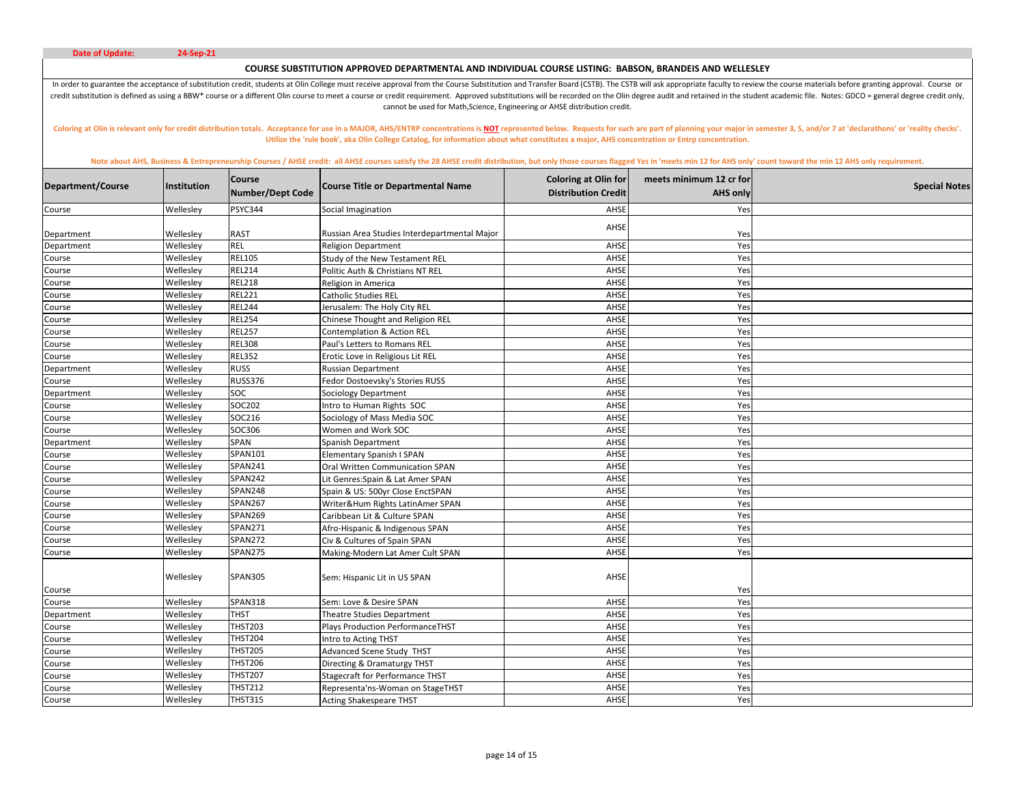# **COURSE SUBSTITUTION APPROVED DEPARTMENTAL AND INDIVIDUAL COURSE LISTING: BABSON, BRANDEIS AND WELLESLEY**

In order to guarantee the acceptance of substitution credit, students at Olin College must receive approval from the Course Substitution and Transfer Board (CSTB). The CSTB will ask appropriate faculty to review the course credit substitution is defined as using a BBW\* course or a different Olin course to meet a course or credit requirement. Approved substitutions will be recorded on the Olin degree audit and retained in the student academic cannot be used for Math,Science, Engineering or AHSE distribution credit.

Coloring at Olin is relevant only for credit distribution totals. Acceptance for use in a MAJOR, AHS/ENTRP concentrations is NOT represented below. Requests for such are part of planning your major in semester 3, 5, and/or **Utilize the 'rule book', aka Olin College Catalog, for information about what constitutes a major, AHS concentration or Entrp concentration.** 

| Department/Course | Institution | <b>Course</b><br>Number/Dept Code | <b>Course Title or Departmental Name</b>     | <b>Coloring at Olin for</b><br><b>Distribution Credit</b> | meets minimum 12 cr for<br><b>AHS only</b> | <b>Special Notes</b> |
|-------------------|-------------|-----------------------------------|----------------------------------------------|-----------------------------------------------------------|--------------------------------------------|----------------------|
| Course            | Wellesley   | PSYC344                           | Social Imagination                           | AHSE                                                      | Yes                                        |                      |
| Department        | Wellesley   | <b>RAST</b>                       | Russian Area Studies Interdepartmental Major | AHSE                                                      | Yes                                        |                      |
| Department        | Wellesley   | <b>REL</b>                        | <b>Religion Department</b>                   | AHSE                                                      | Yes                                        |                      |
| Course            | Wellesley   | <b>REL105</b>                     | Study of the New Testament REL               | AHSE                                                      | Yes                                        |                      |
| Course            | Wellesley   | <b>REL214</b>                     | Politic Auth & Christians NT REL             | AHSE                                                      | Yes                                        |                      |
| Course            | Wellesley   | <b>REL218</b>                     | Religion in America                          | AHSE                                                      | Yes                                        |                      |
| Course            | Wellesley   | <b>REL221</b>                     | Catholic Studies REL                         | AHSE                                                      | Yes                                        |                      |
| Course            | Wellesley   | <b>REL244</b>                     | Jerusalem: The Holy City REL                 | AHSE                                                      | Yes                                        |                      |
| Course            | Wellesley   | <b>REL254</b>                     | Chinese Thought and Religion REL             | AHSE                                                      | Yes                                        |                      |
| Course            | Wellesley   | <b>REL257</b>                     | <b>Contemplation &amp; Action REL</b>        | AHSE                                                      | Yes                                        |                      |
| Course            | Wellesley   | <b>REL308</b>                     | Paul's Letters to Romans REL                 | AHSE                                                      | Yes                                        |                      |
| Course            | Wellesley   | <b>REL352</b>                     | Erotic Love in Religious Lit REL             | AHSE                                                      | Yes                                        |                      |
| Department        | Wellesley   | <b>RUSS</b>                       | <b>Russian Department</b>                    | AHSE                                                      | Yes                                        |                      |
| Course            | Wellesley   | <b>RUSS376</b>                    | Fedor Dostoevsky's Stories RUSS              | AHSE                                                      | Yes                                        |                      |
| Department        | Wellesley   | <b>SOC</b>                        | <b>Sociology Department</b>                  | AHSE                                                      | Yes                                        |                      |
| Course            | Wellesley   | SOC202                            | Intro to Human Rights SOC                    | AHSE                                                      | Yes                                        |                      |
| Course            | Wellesley   | SOC216                            | Sociology of Mass Media SOC                  | AHSE                                                      | Yes                                        |                      |
| Course            | Wellesley   | SOC306                            | Women and Work SOC                           | AHSE                                                      | Yes                                        |                      |
| Department        | Wellesley   | SPAN                              | Spanish Department                           | AHSE                                                      | Yes                                        |                      |
| Course            | Wellesley   | SPAN101                           | Elementary Spanish I SPAN                    | AHSE                                                      | Yes                                        |                      |
| Course            | Wellesley   | <b>SPAN241</b>                    | Oral Written Communication SPAN              | AHSE                                                      | Yes                                        |                      |
| Course            | Wellesley   | <b>SPAN242</b>                    | Lit Genres:Spain & Lat Amer SPAN             | AHSE                                                      | Yes                                        |                      |
| Course            | Wellesley   | <b>SPAN248</b>                    | Spain & US: 500yr Close EnctSPAN             | AHSE                                                      | Yes                                        |                      |
| Course            | Wellesley   | <b>SPAN267</b>                    | Writer&Hum Rights LatinAmer SPAN             | AHSE                                                      | Yes                                        |                      |
| Course            | Wellesley   | <b>SPAN269</b>                    | Caribbean Lit & Culture SPAN                 | AHSE                                                      | Yes                                        |                      |
| Course            | Wellesley   | SPAN271                           | Afro-Hispanic & Indigenous SPAN              | AHSE                                                      | Yes                                        |                      |
| Course            | Wellesley   | <b>SPAN272</b>                    | Civ & Cultures of Spain SPAN                 | AHSE                                                      | Yes                                        |                      |
| Course            | Wellesley   | <b>SPAN275</b>                    | Making-Modern Lat Amer Cult SPAN             | AHSE                                                      | Yes                                        |                      |
| Course            | Wellesley   | <b>SPAN305</b>                    | Sem: Hispanic Lit in US SPAN                 | AHSE                                                      | Yes                                        |                      |
| Course            | Wellesley   | <b>SPAN318</b>                    | Sem: Love & Desire SPAN                      | AHSE                                                      | Yes                                        |                      |
| Department        | Wellesley   | THST                              | Theatre Studies Department                   | AHSE                                                      | Yes                                        |                      |
| Course            | Wellesley   | <b>THST203</b>                    | <b>Plays Production PerformanceTHST</b>      | AHSE                                                      | Yes                                        |                      |
| Course            | Wellesley   | <b>THST204</b>                    | Intro to Acting THST                         | AHSE                                                      | Yes                                        |                      |
| Course            | Wellesley   | <b>THST205</b>                    | Advanced Scene Study THST                    | AHSE                                                      | Yes                                        |                      |
| Course            | Wellesley   | <b>THST206</b>                    | Directing & Dramaturgy THST                  | AHSE                                                      | Yes                                        |                      |
| Course            | Wellesley   | <b>THST207</b>                    | <b>Stagecraft for Performance THST</b>       | AHSE                                                      | Yes                                        |                      |
| Course            | Wellesley   | <b>THST212</b>                    | Representa'ns-Woman on StageTHST             | AHSE                                                      | Yes                                        |                      |
|                   | Wellesley   | <b>THST315</b>                    | <b>Acting Shakespeare THST</b>               | AHSE                                                      | Yes                                        |                      |
| Course            |             |                                   |                                              |                                                           |                                            |                      |